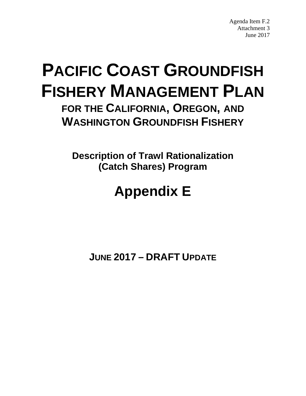Agenda Item F.2 Attachment 3 June 2017

# <span id="page-0-0"></span>**PACIFIC COAST GROUNDFISH FISHERY MANAGEMENT PLAN**

**FOR THE CALIFORNIA, OREGON, AND WASHINGTON GROUNDFISH FISHERY**

**Description of Trawl Rationalization (Catch Shares) Program**

# **Appendix E**

**JUNE 2017 – DRAFT UPDATE**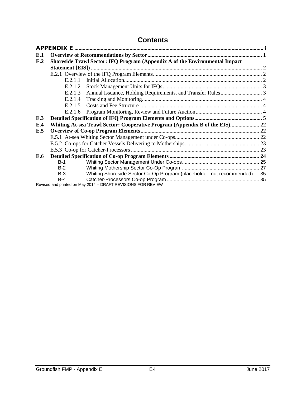# **Contents**

| E.1 |                                                                             |                                                                             |  |  |  |  |
|-----|-----------------------------------------------------------------------------|-----------------------------------------------------------------------------|--|--|--|--|
| E.2 | Shoreside Trawl Sector: IFQ Program (Appendix A of the Environmental Impact |                                                                             |  |  |  |  |
|     |                                                                             |                                                                             |  |  |  |  |
|     |                                                                             |                                                                             |  |  |  |  |
|     | E.2.1.1                                                                     |                                                                             |  |  |  |  |
|     | E.2.1.2                                                                     |                                                                             |  |  |  |  |
|     | E.2.1.3                                                                     |                                                                             |  |  |  |  |
|     | E.2.1.4                                                                     |                                                                             |  |  |  |  |
|     | E.2.1.5                                                                     |                                                                             |  |  |  |  |
|     | E.2.1.6                                                                     |                                                                             |  |  |  |  |
| E.3 |                                                                             |                                                                             |  |  |  |  |
| E.4 |                                                                             | Whiting At-sea Trawl Sector: Cooperative Program (Appendix B of the EIS) 22 |  |  |  |  |
| E.5 |                                                                             |                                                                             |  |  |  |  |
|     |                                                                             |                                                                             |  |  |  |  |
|     |                                                                             |                                                                             |  |  |  |  |
|     |                                                                             |                                                                             |  |  |  |  |
| E.6 |                                                                             |                                                                             |  |  |  |  |
|     | $B-1$                                                                       |                                                                             |  |  |  |  |
|     | $B-2$                                                                       |                                                                             |  |  |  |  |
|     | $B-3$                                                                       | Whiting Shoreside Sector Co-Op Program (placeholder, not recommended)  35   |  |  |  |  |
|     | $B-4$                                                                       |                                                                             |  |  |  |  |
|     |                                                                             | Revised and printed on May 2014 - DRAFT REVISIONS FOR REVIEW                |  |  |  |  |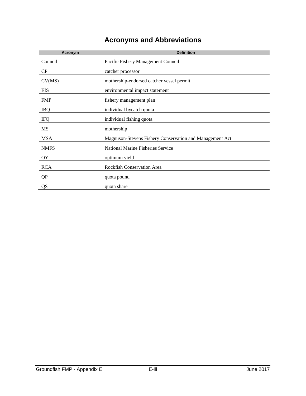# **Acronyms and Abbreviations**

| Acronym     | <b>Definition</b>                                        |
|-------------|----------------------------------------------------------|
| Council     | Pacific Fishery Management Council                       |
| $\rm CP$    | catcher processor                                        |
| CV(MS)      | mothership-endorsed catcher vessel permit                |
| EIS         | environmental impact statement                           |
| <b>FMP</b>  | fishery management plan                                  |
| <b>IBQ</b>  | individual bycatch quota                                 |
| <b>IFQ</b>  | individual fishing quota                                 |
| MS          | mothership                                               |
| <b>MSA</b>  | Magnuson-Stevens Fishery Conservation and Management Act |
| <b>NMFS</b> | National Marine Fisheries Service                        |
| OY          | optimum yield                                            |
| <b>RCA</b>  | <b>Rockfish Conservation Area</b>                        |
| QP          | quota pound                                              |
| QS          | quota share                                              |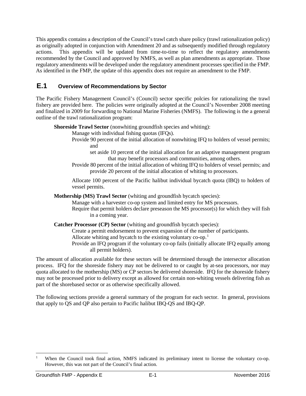This appendix contains a description of the Council's trawl catch share policy (trawl rationalization policy) as originally adopted in conjunction with Amendment 20 and as subsequently modified through regulatory actions. This appendix will be updated from time-to-time to reflect the regulatory amendments recommended by the Council and approved by NMFS, as well as plan amendments as appropriate. Those regulatory amendments will be developed under the regulatory amendment processes specified in the FMP. As identified in the FMP, the update of this appendix does not require an amendment to the FMP.

## <span id="page-3-0"></span>**E.1 Overview of Recommendations by Sector**

The Pacific Fishery Management Council's (Council) sector specific polcies for rationalizing the trawl fishery are provided here. The policies were originally adopted at the Council's November 2008 meeting and finalized in 2009 for forwarding to National Marine Fisheries (NMFS). The following is the a general outline of the trawl rationalization program:

**Shoreside Trawl Sector** (nonwhiting groundfish species and whiting):

Manage with individual fishing quotas (IFQs).

- Provide 90 percent of the initial allocation of nonwhiting IFQ to holders of vessel permits; and
	- set aside 10 percent of the initial allocation for an adaptive management program that may benefit processors and communities, among others.
- Provide 80 percent of the initial allocation of whiting IFQ to holders of vessel permits; and provide 20 percent of the initial allocation of whiting to processors.

Allocate 100 percent of the Pacific halibut individual bycatch quota (IBQ) to holders of vessel permits.

**Mothership (MS) Trawl Sector** (whiting and groundfish bycatch species):

Manage with a harvester co-op system and limited entry for MS processors.

Require that permit holders declare preseason the MS processor(s) for which they will fish in a coming year.

**Catcher Processor (CP) Sector** (whiting and groundfish bycatch species):

Create a permit endorsement to prevent expansion of the number of participants.

Allocate whiting and bycatch to the existing voluntary co-op.<sup>[1](#page-3-1)</sup>

Provide an IFQ program if the voluntary co-op fails (initially allocate IFQ equally among all permit holders).

The amount of allocation available for these sectors will be determined through the intersector allocation process. IFQ for the shoreside fishery may not be delivered to or caught by at-sea processors, nor may quota allocated to the mothership (MS) or CP sectors be delivered shoreside. IFQ for the shoreside fishery may not be processed prior to delivery except as allowed for certain non-whiting vessels delivering fish as part of the shorebased sector or as otherwise specifically allowed.

The following sections provide a general summary of the program for each sector. In general, provisions that apply to QS and QP also pertain to Pacific halibut IBQ-QS and IBQ-QP.

<span id="page-3-1"></span>When the Council took final action, NMFS indicated its preliminary intent to license the voluntary co-op. However, this was not part of the Council's final action.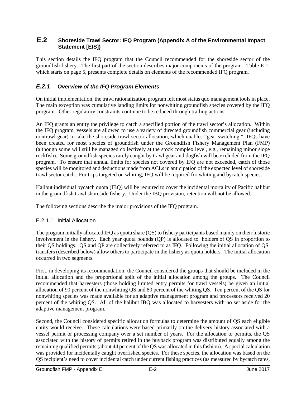#### <span id="page-4-0"></span>**E.2 Shoreside Trawl Sector: IFQ Program (Appendix A of the Environmental Impact Statement [EIS])**

This section details the IFQ program that the Council recommended for the shoreside sector of the groundfish fishery. The first part of the section describes major components of the program. [Table E-1,](#page-7-1) which starts on page [5,](#page-7-1) presents complete details on elements of the recommended IFQ program.

## <span id="page-4-1"></span>*E.2.1 Overview of the IFQ Program Elements*

On initial implementation, the trawl rationalization program left most status quo management tools in place. The main exception was cumulative landing limits for nonwhiting groundfish species covered by the IFQ program. Other regulatory constraints continue to be reduced through trailing actions.

An IFQ grants an entity the privilege to catch a specified portion of the trawl sector's allocation. Within the IFQ program, vessels are allowed to use a variety of directed groundfish commercial gear (including nontrawl gear) to take the shoreside trawl sector allocation, which enables "gear switching." IFQs have been created for most species of groundfish under the Groundfish Fishery Management Plan (FMP) (although some will still be managed collectively at the stock complex level, e.g., remaining minor slope rockfish). Some groundfish species rarely caught by trawl gear and dogfish will be excluded from the IFQ program. To ensure that annual limits for species not covered by IFQ are not exceeded, catch of those species will be monitored and deductions made from ACLs in anticipation of the expected level of shoreside trawl sector catch. For trips targeted on whiting, IFQ will be required for whiting and bycatch species.

Halibut individual bycatch quota (IBQ) will be required to cover the incidental mortality of Pacific halibut in the groundfish trawl shoreside fishery. Under the IBQ provision, retention will not be allowed.

The following sections describe the major provisions of the IFQ program.

#### <span id="page-4-2"></span>E.2.1.1 Initial Allocation

The program initially allocated IFQ as quota share (QS) to fishery participants based mainly on their historic involvement in the fishery. Each year quota pounds (QP) is allocated to holders of QS in proportion to their QS holdings. QS and QP are collectively referred to as IFQ. Following the initial allocation of QS, transfers (described below) allow others to participate in the fishery as quota holders. The initial allocation occurred in two segments.

First, in developing its recommendation, the Council considered the groups that should be included in the initial allocation and the proportional split of the initial allocation among the groups. The Council recommended that harvesters (those holding limited entry permits for trawl vessels) be given an initial allocation of 90 percent of the nonwhiting QS and 80 percent of the whiting QS. Ten percent of the QS for nonwhiting species was made available for an adaptive management program and processors received 20 percent of the whiting QS. All of the halibut IBQ was allocated to harvesters with no set aside for the adaptive management program.

Second, the Council considered specific allocation formulas to determine the amount of QS each eligible entity would receive. These calculations were based primarily on the delivery history associated with a vessel permit or processing company over a set number of years. For the allocation to permits, the QS associated with the history of permits retired in the buyback program was distributed equally among the remaining qualified permits (about 44 percent of the QS was allocated in this fashion). A special calculation was provided for incidentally caught overfished species. For these species, the allocation was based on the QS recipient's need to cover incidental catch under current fishing practices (as measured by bycatch rates,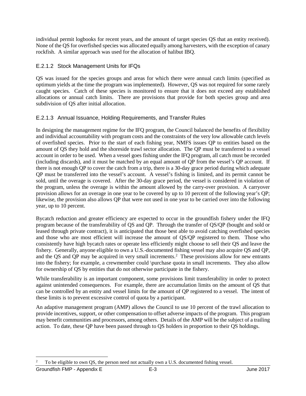individual permit logbooks for recent years, and the amount of target species QS that an entity received). None of the QS for overfished species was allocated equally among harvesters, with the exception of canary rockfish. A similar approach was used for the allocation of halibut IBQ.

## <span id="page-5-0"></span>E.2.1.2 Stock Management Units for IFQs

QS was issued for the species groups and areas for which there were annual catch limits (specified as optimum yields at the time the program was implemented). However, QS was not required for some rarely caught species. Catch of these species is monitored to ensure that it does not exceed any established allocations or annual catch limits. There are provisions that provide for both species group and area subdivision of QS after initial allocation.

#### <span id="page-5-1"></span>E.2.1.3 Annual Issuance, Holding Requirements, and Transfer Rules

In designing the management regime for the IFQ program, the Council balanced the benefits of flexibility and individual accountability with program costs and the constraints of the very low allowable catch levels of overfished species. Prior to the start of each fishing year, NMFS issues QP to entities based on the amount of QS they hold and the shoreside trawl sector allocation. The QP must be transferred to a vessel account in order to be used. When a vessel goes fishing under the IFQ program, all catch must be recorded (including discards), and it must be matched by an equal amount of QP from the vessel's QP account. If there is not enough QP to cover the catch from a trip, there is a 30-day grace period during which adequate QP must be transferred into the vessel's account. A vessel's fishing is limited, and its permit cannot be sold, until the overage is covered. After the 30-day grace period, the vessel is considered in violation of the program, unless the overage is within the amount allowed by the carry-over provision. A carryover provision allows for an overage in one year to be covered by up to 10 percent of the following year's QP; likewise, the provision also allows QP that were not used in one year to be carried over into the following year, up to 10 percent.

Bycatch reduction and greater efficiency are expected to occur in the groundfish fishery under the IFQ program because of the transferability of QS and QP. Through the transfer of QS/QP (bought and sold or leased through private contract), it is anticipated that those best able to avoid catching overfished species and those who are most efficient will increase the amount of QS/QP registered to them. Those who consistently have high bycatch rates or operate less efficiently might choose to sell their QS and leave the fishery. Generally, anyone eligible to own a U.S.-documented fishing vessel may also acquire QS and QP, and the QS and QP may be acquired in very small increments.<sup>[2](#page-5-2)</sup> These provisions allow for new entrants into the fishery; for example, a crewmember could \purchase quota in small increments. They also allow for ownership of QS by entities that do not otherwise participate in the fishery.

While transferability is an important component, some provisions limit transferability in order to protect against unintended consequences. For example, there are accumulation limits on the amount of QS that can be controlled by an entity and vessel limits for the amount of QP registered to a vessel. The intent of these limits is to prevent excessive control of quota by a participant.

An adaptive management program (AMP) allows the Council to use 10 percent of the trawl allocation to provide incentives, support, or other compensation to offset adverse impacts of the program. This program may benefit communities and processors, among others. Details of the AMP will be the subject of a trailing action.To date, these QP have been passed through to QS holders in proportion to their QS holdings.

<span id="page-5-2"></span> <sup>2</sup> To be eligible to own QS, the person need not actually own a U.S. documented fishing vessel.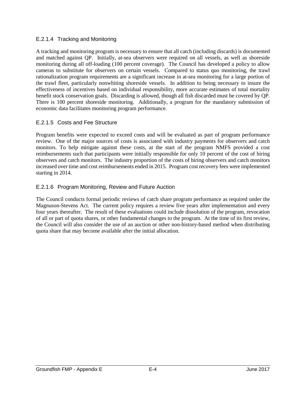#### <span id="page-6-0"></span>E.2.1.4 Tracking and Monitoring

A tracking and monitoring program is necessary to ensure that all catch (including discards) is documented and matched against QP. Initially, at-sea observers were required on all vessels, as well as shoreside monitoring during all off-loading (100 percent coverage). The Council has developed a policy to allow cameras to substitute for observers on certain vessels. Compared to status quo monitoring, the trawl rationalization program requirements are a significant increase in at-sea monitoring for a large portion of the trawl fleet, particularly nonwhiting shoreside vessels. In addition to being necessary to insure the effectiveness of incentives based on individual responsibility, more accurate estimates of total mortality benefit stock conservation goals. Discarding is allowed, though all fish discarded must be covered by QP. There is 100 percent shoreside monitoring. Additionally, a program for the mandatory submission of economic data facilitates monitoring program performance.

#### <span id="page-6-1"></span>E.2.1.5 Costs and Fee Structure

Program benefits were expected to exceed costs and will be evaluated as part of program performance review. One of the major sources of costs is associated with industry payments for observers and catch monitors. To help mitigate against these costs, at the start of the program NMFS provided a cost reimbursements such that participants were initially responsible for only 10 percent of the cost of hiring observers and catch monitors. The industry proportion of the costs of hiring observers and catch monitors increased over time and cost reimbursements ended in 2015. Program cost recovery fees were implemented starting in 2014.

#### <span id="page-6-2"></span>E.2.1.6 Program Monitoring, Review and Future Auction

The Council conducts formal periodic reviews of catch share program performance as required under the Magnuson-Stevens Act. The current policy requires a review five years after implementation and every four years thereafter. The result of these evaluations could include dissolution of the program, revocation of all or part of quota shares, or other fundamental changes to the program. At the time of its first review, the Council will also consider the use of an auction or other non-history-based method when distributing quota share that may become available after the initial allocation.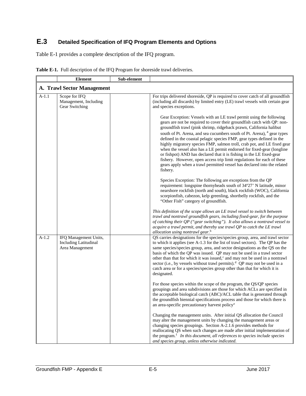# <span id="page-7-0"></span>**E.3 Detailed Specification of IFQ Program Elements and Options**

[Table E-1](#page-7-1) provides a complete description of the IFQ program.

|         | <b>Element</b>                                                           | Sub-element |                                                                                                                                                                                                                                                                                                                                                                                                                                                                                                                                                                                                                                                                                                                                                                                   |
|---------|--------------------------------------------------------------------------|-------------|-----------------------------------------------------------------------------------------------------------------------------------------------------------------------------------------------------------------------------------------------------------------------------------------------------------------------------------------------------------------------------------------------------------------------------------------------------------------------------------------------------------------------------------------------------------------------------------------------------------------------------------------------------------------------------------------------------------------------------------------------------------------------------------|
|         | A. Trawl Sector Management                                               |             |                                                                                                                                                                                                                                                                                                                                                                                                                                                                                                                                                                                                                                                                                                                                                                                   |
| $A-1.1$ | Scope for IFQ<br>Management, Including<br>Gear Switching                 |             | For trips delivered shoreside, QP is required to cover catch of all groundfish<br>(including all discards) by limited entry (LE) trawl vessels with certain gear<br>and species exceptions.                                                                                                                                                                                                                                                                                                                                                                                                                                                                                                                                                                                       |
|         |                                                                          |             | Gear Exception: Vessels with an LE trawl permit using the following<br>gears are not be required to cover their groundfish catch with QP: non-<br>groundfish trawl (pink shrimp, ridgeback prawn, California halibut<br>south of Pt. Arena, and sea cucumbers south of Pt. Arena), <sup>a</sup> gear types<br>defined in the coastal pelagic species FMP, gear types defined in the<br>highly migratory species FMP, salmon troll, crab pot, and LE fixed gear<br>when the vessel also has a LE permit endorsed for fixed-gear (longline<br>or fishpot) AND has declared that it is fishing in the LE fixed-gear<br>fishery. However, open access trip limit regulations for each of these<br>gears apply when a trawl permitted vessel has declared into the related<br>fishery. |
|         |                                                                          |             | Species Exception: The following are exceptions from the QP<br>requirement: longspine thornyheads south of 34°27' N latitude, minor<br>nearshore rockfish (north and south), black rockfish (WOC), California<br>scorpionfish, cabezon, kelp greenling, shortbelly rockfish, and the<br>"Other Fish" category of groundfish.                                                                                                                                                                                                                                                                                                                                                                                                                                                      |
|         |                                                                          |             | This definition of the scope allows an LE trawl vessel to switch between<br>trawl and nontrawl groundfish gears, including fixed-gear, for the purpose<br>of catching their QP ("gear switching"). It also allows a nontrawl vessel to<br>acquire a trawl permit, and thereby use trawl QP to catch the LE trawl<br>allocation using nontrawl gear. <sup>b</sup>                                                                                                                                                                                                                                                                                                                                                                                                                  |
| $A-1.2$ | IFQ Management Units,<br><b>Including Latitudinal</b><br>Area Management |             | QS carries designations for the species/species group, area, and trawl sector<br>to which it applies (see A-1.3 for the list of trawl sectors). The QP has the<br>same species/species group, area, and sector designations as the QS on the<br>basis of which the QP was issued. QP may not be used in a trawl sector<br>other than that for which it was issued, <sup>c</sup> and may not be used in a nontrawl<br>sector (i.e., by vessels without trawl permits). <sup>d</sup> QP may not be used in a<br>catch area or for a species/species group other than that for which it is<br>designated.                                                                                                                                                                            |
|         |                                                                          |             | For those species within the scope of the program, the QS/QP species<br>groupings and area subdivisions are those for which ACLs are specified in<br>the acceptable biological catch (ABC)/ACL table that is generated through<br>the groundfish biennial specifications process and those for which there is<br>an area-specific precautionary harvest policy <sup>e</sup>                                                                                                                                                                                                                                                                                                                                                                                                       |
|         |                                                                          |             | Changing the management units. After initial QS allocation the Council<br>may alter the management units by changing the management areas or<br>changing species groupings. Section A-2.1.6 provides methods for<br>reallocating QS when such changes are made after initial implementation of<br>the program. <sup>f</sup> In this document, all references to species include species<br>and species group, unless otherwise indicated.                                                                                                                                                                                                                                                                                                                                         |

<span id="page-7-1"></span>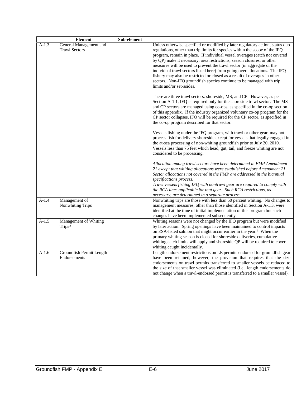|         | <b>Element</b>                                    | Sub-element |                                                                                                                                                                                                                                                                                                                                                                                                                                                                                                                                                                                                                                                                |
|---------|---------------------------------------------------|-------------|----------------------------------------------------------------------------------------------------------------------------------------------------------------------------------------------------------------------------------------------------------------------------------------------------------------------------------------------------------------------------------------------------------------------------------------------------------------------------------------------------------------------------------------------------------------------------------------------------------------------------------------------------------------|
| $A-1.3$ | General Management and<br><b>Trawl Sectors</b>    |             | Unless otherwise specified or modified by later regulatory action, status quo<br>regulations, other than trip limits for species within the scope of the IFQ<br>program, remain in place. If individual vessel overages (catch not covered<br>by QP) make it necessary, area restrictions, season closures, or other<br>measures will be used to prevent the trawl sector (in aggregate or the<br>individual trawl sectors listed here) from going over allocations. The IFQ<br>fishery may also be restricted or closed as a result of overages in other<br>sectors. Non-IFQ groundfish species continue to be managed with trip<br>limits and/or set-asides. |
|         |                                                   |             | There are three trawl sectors: shoreside, MS, and CP. However, as per<br>Section A-1.1, IFQ is required only for the shoreside trawl sector. The MS<br>and CP sectors are managed using co-ops, as specified in the co-op section<br>of this appendix. If the industry organized voluntary co-op program for the<br>CP sector collapses, IFQ will be required for the CP sector, as specified in<br>the co-op program described for that sector.                                                                                                                                                                                                               |
|         |                                                   |             | Vessels fishing under the IFQ program, with trawl or other gear, may not<br>process fish for delivery shoreside except for vessels that legally engaged in<br>the at-sea processing of non-whiting groundfish prior to July 20, 2010.<br>Vessels less than 75 feet which head, gut, tail, and freeze whiting are not<br>considered to be processing.                                                                                                                                                                                                                                                                                                           |
|         |                                                   |             | Allocation among trawl sectors have been determined in FMP Amendment<br>21 except that whiting allocations were established before Amendment 21.<br>Sector allocations not covered in the FMP are addressed in the biannual<br>specifications process.<br>Trawl vessels fishing IFQ with nontrawl gear are required to comply with<br>the RCA lines applicable for that gear. Such RCA restrictions, as<br>necessary, are determined in a separate process.                                                                                                                                                                                                    |
| $A-1.4$ | Management of<br>Nonwhiting Trips                 |             | Nonwhiting trips are those with less than 50 percent whiting. No changes to<br>management measures, other than those identified in Section A-1.3, were<br>identified at the time of initial implementation of this program but such<br>changes have been implemented subsequently.                                                                                                                                                                                                                                                                                                                                                                             |
| $A-1.5$ | Management of Whiting<br><b>Trips<sup>g</sup></b> |             | Whiting seasons were not changed by the IFQ program but were modified<br>by later action. Spring openings have been maintained to control impacts<br>on ESA-listed salmon that might occur earlier in the year. <sup>h</sup> When the<br>primary whiting season is closed for shoreside deliveries, cumulative<br>whiting catch limits will apply and shoreside QP will be required to cover<br>whiting caught incidentally.                                                                                                                                                                                                                                   |
| $A-1.6$ | Groundfish Permit Length<br>Endorsements          |             | Length endorsement restrictions on LE permits endorsed for groundfish gear<br>have been retained; however, the provision that requires that the size<br>endorsements on trawl permits transferred to smaller vessels be reduced to<br>the size of that smaller vessel was eliminated (i.e., length endorsements do<br>not change when a trawl-endorsed permit is transferred to a smaller vessel).                                                                                                                                                                                                                                                             |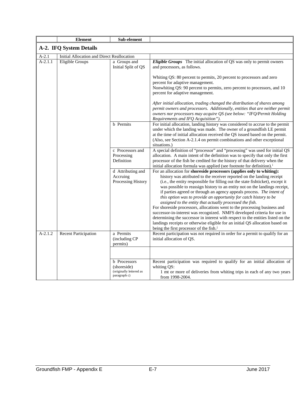|           | <b>Element</b>                             | Sub-element                                                            |                                                                                                                                                                                                                                                                                                                                                                                                                                                                                                                                                                                                                                                                                                                                                                                                                                                                                                                |
|-----------|--------------------------------------------|------------------------------------------------------------------------|----------------------------------------------------------------------------------------------------------------------------------------------------------------------------------------------------------------------------------------------------------------------------------------------------------------------------------------------------------------------------------------------------------------------------------------------------------------------------------------------------------------------------------------------------------------------------------------------------------------------------------------------------------------------------------------------------------------------------------------------------------------------------------------------------------------------------------------------------------------------------------------------------------------|
|           | A-2. IFQ System Details                    |                                                                        |                                                                                                                                                                                                                                                                                                                                                                                                                                                                                                                                                                                                                                                                                                                                                                                                                                                                                                                |
| $A-2.1$   | Initial Allocation and Direct Reallocation |                                                                        |                                                                                                                                                                                                                                                                                                                                                                                                                                                                                                                                                                                                                                                                                                                                                                                                                                                                                                                |
| $A-2.1.1$ | <b>Eligible Groups</b>                     | a Groups and<br>Initial Split of QS                                    | Eligible Groups The initial allocation of QS was only to permit owners<br>and processors, as follows.                                                                                                                                                                                                                                                                                                                                                                                                                                                                                                                                                                                                                                                                                                                                                                                                          |
|           |                                            |                                                                        | Whiting QS: 80 percent to permits, 20 percent to processors and zero<br>percent for adaptive management.<br>Nonwhiting QS: 90 percent to permits, zero percent to processors, and 10<br>percent for adaptive management.<br>After initial allocation, trading changed the distribution of shares among                                                                                                                                                                                                                                                                                                                                                                                                                                                                                                                                                                                                         |
|           |                                            |                                                                        | permit owners and processors. Additionally, entities that are neither permit<br>owners nor processors may acquire QS (see below: "IFQ/Permit Holding<br>Requirements and IFQ Acquisition").                                                                                                                                                                                                                                                                                                                                                                                                                                                                                                                                                                                                                                                                                                                    |
|           |                                            | <b>b</b> Permits                                                       | For initial allocation, landing history was considered to accrue to the permit<br>under which the landing was made. The owner of a groundfish LE permit<br>at the time of initial allocation received the QS issued based on the permit.<br>(Also, see Section A-2.1.4 on permit combinations and other exceptional<br>situations.)                                                                                                                                                                                                                                                                                                                                                                                                                                                                                                                                                                            |
|           |                                            | c Processors and<br>Processing<br>Definition                           | A special definition of "processor" and "processing" was used for initial QS<br>allocation. A main intent of the definition was to specify that only the first<br>processor of the fish be credited for the history of that delivery when the<br>initial allocation formula was applied (see footnote for definition). <sup>i</sup>                                                                                                                                                                                                                                                                                                                                                                                                                                                                                                                                                                            |
|           |                                            | d Attributing and<br>Accruing<br>Processing History                    | For an allocation for shoreside processors (applies only to whiting):<br>history was attributed to the receiver reported on the landing receipt<br>(i.e., the entity responsible for filling out the state fishticket), except it<br>was possible to reassign history to an entity not on the landings receipt,<br>if parties agreed or through an agency appeals process. The intent of<br>this option was to provide an opportunity for catch history to be<br>assigned to the entity that actually processed the fish.<br>For shoreside processors, allocations went to the processing business and<br>successor-in-interest was recognized. NMFS developed criteria for use in<br>determining the successor in interest with respect to the entities listed on the<br>landings receipts or otherwise eligible for an initial QS allocation based on<br>being the first processor of the fish. <sup>j</sup> |
| $A-2.1.2$ | <b>Recent Participation</b>                | a Permits<br>(including CP<br>permits)                                 | Recent participation was not required in order for a permit to qualify for an<br>initial allocation of QS.                                                                                                                                                                                                                                                                                                                                                                                                                                                                                                                                                                                                                                                                                                                                                                                                     |
|           |                                            | b Processors<br>(shoreside)<br>(originally lettered as<br>paragraph c) | Recent participation was required to qualify for an initial allocation of<br>whiting QS:<br>1 mt or more of deliveries from whiting trips in each of any two years<br>from 1998-2004.                                                                                                                                                                                                                                                                                                                                                                                                                                                                                                                                                                                                                                                                                                                          |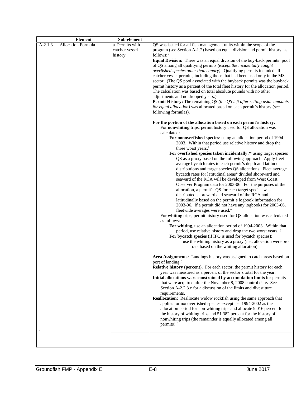|           | <b>Element</b>            | Sub-element    |                                                                                                                                                     |
|-----------|---------------------------|----------------|-----------------------------------------------------------------------------------------------------------------------------------------------------|
| $A-2.1.3$ | <b>Allocation Formula</b> | a Permits with | QS was issued for all fish management units within the scope of the                                                                                 |
|           |                           | catcher vessel | program (see Section A-1.2) based on equal division and permit history, as                                                                          |
|           |                           | history        | $follows:$ <sup>k</sup>                                                                                                                             |
|           |                           |                | Equal Division: There was an equal division of the buy-back permits' pool                                                                           |
|           |                           |                | of QS among all qualifying permits (except the incidentally caught                                                                                  |
|           |                           |                | overfished species other than canary). Qualifying permits included all<br>catcher vessel permits, including those that had been used only in the MS |
|           |                           |                | sector. (The QS pool associated with the buyback permits was the buyback                                                                            |
|           |                           |                | permit history as a percent of the total fleet history for the allocation period.                                                                   |
|           |                           |                | The calculation was based on total absolute pounds with no other                                                                                    |
|           |                           |                | adjustments and no dropped years.)                                                                                                                  |
|           |                           |                | Permit History: The remaining QS (the QS left after setting aside amounts                                                                           |
|           |                           |                | for equal allocation) was allocated based on each permit's history (see                                                                             |
|           |                           |                | following formulas).                                                                                                                                |
|           |                           |                | For the portion of the allocation based on each permit's history.<br>For nonwhiting trips, permit history used for QS allocation was<br>calculated: |
|           |                           |                | For nonoverfished species: using an allocation period of 1994-                                                                                      |
|           |                           |                | 2003. Within that period use relative history and drop the<br>three worst years. <sup>1</sup>                                                       |
|           |                           |                | For overfished species taken incidentally: <sup>m</sup> using target species                                                                        |
|           |                           |                | QS as a proxy based on the following approach: Apply fleet                                                                                          |
|           |                           |                | average bycatch rates to each permit's depth and latitude                                                                                           |
|           |                           |                | distributions and target species QS allocations. Fleet average                                                                                      |
|           |                           |                | bycatch rates for latitudinal areas <sup>n</sup> divided shoreward and<br>seaward of the RCA will be developed from West Coast                      |
|           |                           |                | Observer Program data for 2003-06. For the purposes of the                                                                                          |
|           |                           |                | allocation, a permit's QS for each target species was                                                                                               |
|           |                           |                | distributed shoreward and seaward of the RCA and                                                                                                    |
|           |                           |                | latitudinally based on the permit's logbook information for<br>2003-06. If a permit did not have any logbooks for 2003-06,                          |
|           |                           |                | fleetwide averages were used. <sup>o</sup>                                                                                                          |
|           |                           |                | For whiting trips, permit history used for QS allocation was calculated<br>as follows:                                                              |
|           |                           |                | For whiting, use an allocation period of 1994-2003. Within that                                                                                     |
|           |                           |                | period, use relative history and drop the two worst years. P                                                                                        |
|           |                           |                | For bycatch species (if IFQ is used for bycatch species):<br>use the whiting history as a proxy (i.e., allocation were pro                          |
|           |                           |                | rata based on the whiting allocation).                                                                                                              |
|           |                           |                | Area Assignments: Landings history was assigned to catch areas based on                                                                             |
|           |                           |                | port of landing. <sup>q</sup>                                                                                                                       |
|           |                           |                | Relative history (percent). For each sector, the permit history for each                                                                            |
|           |                           |                | year was measured as a percent of the sector's total for the year.                                                                                  |
|           |                           |                | Initial allocations were constrained by accumulation limits for permits<br>that were acquired after the November 8, 2008 control date. See          |
|           |                           |                | Section A-2.2.3.e for a discussion of the limits and divestiture                                                                                    |
|           |                           |                | requirements.                                                                                                                                       |
|           |                           |                | <b>Reallocation:</b> Reallocate widow rockfish using the same approach that                                                                         |
|           |                           |                | applies for nonoverfished species except use 1994-2002 as the                                                                                       |
|           |                           |                | allocation period for non-whiting trips and allocate 9.016 percent for                                                                              |
|           |                           |                | the history of whiting trips and 51.382 percent for the history of<br>nonwhiting trips (the remainder is equally allocated among all                |
|           |                           |                | permits). $r$                                                                                                                                       |
|           |                           |                |                                                                                                                                                     |
|           |                           |                |                                                                                                                                                     |
|           |                           |                |                                                                                                                                                     |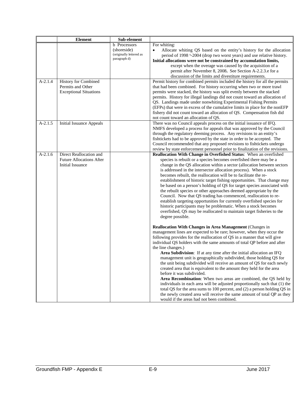|           | <b>Element</b>                                                                 | Sub-element                                                                   |                                                                                                                                                                                                                                                                                                                                                                                                                                                                                                                                                                                                                                                                                                                                                                                                                                                                                                                                                                                                    |
|-----------|--------------------------------------------------------------------------------|-------------------------------------------------------------------------------|----------------------------------------------------------------------------------------------------------------------------------------------------------------------------------------------------------------------------------------------------------------------------------------------------------------------------------------------------------------------------------------------------------------------------------------------------------------------------------------------------------------------------------------------------------------------------------------------------------------------------------------------------------------------------------------------------------------------------------------------------------------------------------------------------------------------------------------------------------------------------------------------------------------------------------------------------------------------------------------------------|
| $A-2.1.4$ | History for Combined                                                           | <b>b</b> Processors<br>(shoreside)<br>(originally lettered as<br>paragraph d) | For whiting:<br>Allocate whiting QS based on the entity's history for the allocation<br>period of 1998 <sup>s</sup> -2004 (drop two worst years) and use relative history.<br>Initial allocations were not be constrained by accumulation limits,<br>except when the overage was caused by the acquisition of a<br>permit after November 8, 2008. See Section A-2.2.3.e for a<br>discussion of the limits and divestiture requirements.<br>Permit history for combined permits included the history for all the permits                                                                                                                                                                                                                                                                                                                                                                                                                                                                            |
|           | Permits and Other<br><b>Exceptional Situations</b>                             |                                                                               | that had been combined. For history occurring when two or more trawl<br>permits were stacked, the history was split evenly between the stacked<br>permits. History for illegal landings did not count toward an allocation of<br>QS. Landings made under nonwhiting Experimental Fishing Permits<br>(EFPs) that were in excess of the cumulative limits in place for the nonEFP<br>fishery did not count toward an allocation of QS. Compensation fish did<br>not count toward an allocation of QS.                                                                                                                                                                                                                                                                                                                                                                                                                                                                                                |
| $A-2.1.5$ | <b>Initial Issuance Appeals</b>                                                |                                                                               | There was no Council appeals process on the initial issuance of IFQ.<br>NMFS developed a process for appeals that was approved by the Council<br>through the regulatory deeming process. Any revisions to an entity's<br>fishtickets had to be approved by the state in order to be accepted. The<br>Council recommended that any proposed revisions to fishtickets undergo<br>review by state enforcement personnel prior to finalization of the revisions.                                                                                                                                                                                                                                                                                                                                                                                                                                                                                                                                       |
| $A-2.1.6$ | Direct Reallocation and<br><b>Future Allocations After</b><br>Initial Issuance |                                                                               | Reallocation With Change in Overfished Status: When an overfished<br>species is rebuilt or a species becomes overfished there may be a<br>change in the QS allocation within a sector (allocation between sectors<br>is addressed in the intersector allocation process). When a stock<br>becomes rebuilt, the reallocation will be to facilitate the re-<br>establishment of historic target fishing opportunities. That change may<br>be based on a person's holding of QS for target species associated with<br>the rebuilt species or other approaches deemed appropriate by the<br>Council. Now that QS trading has commenced, reallocation to re-<br>establish targeting opportunities for currently overfished species for<br>historic participants may be problematic. When a stock becomes<br>overfished, QS may be reallocated to maintain target fisheries to the<br>degree possible.                                                                                                   |
|           |                                                                                |                                                                               | Reallocation With Changes in Area Management (Changes in<br>management lines are expected to be rare; however, when they occur the<br>following provides for the reallocation of QS in a manner that will give<br>individual QS holders with the same amounts of total QP before and after<br>the line changes.)<br>Area Subdivision: If at any time after the initial allocation an IFQ<br>management unit is geographically subdivided, those holding QS for<br>the unit being subdivided will receive an amount of QS for each newly<br>created area that is equivalent to the amount they held for the area<br>before it was subdivided.<br>Area Recombination: When two areas are combined, the QS held by<br>individuals in each area will be adjusted proportionally such that (1) the<br>total QS for the area sums to 100 percent, and (2) a person holding QS in<br>the newly created area will receive the same amount of total QP as they<br>would if the areas had not been combined. |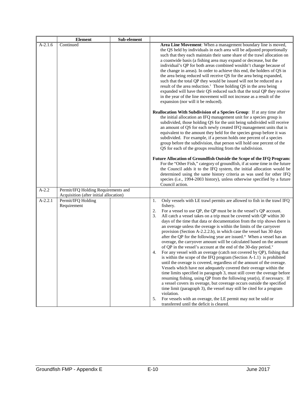|           | <b>Element</b>                                                                | Sub-element |                                                                                                                                                                                                                                                                                                                                                                                                                                                                                                                                                                                                                                                                                                                                                                                                                                                                                                                                                                                                                                                                                                                                                                                                                                                                                                                                                                                                                                                                                |
|-----------|-------------------------------------------------------------------------------|-------------|--------------------------------------------------------------------------------------------------------------------------------------------------------------------------------------------------------------------------------------------------------------------------------------------------------------------------------------------------------------------------------------------------------------------------------------------------------------------------------------------------------------------------------------------------------------------------------------------------------------------------------------------------------------------------------------------------------------------------------------------------------------------------------------------------------------------------------------------------------------------------------------------------------------------------------------------------------------------------------------------------------------------------------------------------------------------------------------------------------------------------------------------------------------------------------------------------------------------------------------------------------------------------------------------------------------------------------------------------------------------------------------------------------------------------------------------------------------------------------|
| $A-2.1.6$ | Continued                                                                     |             | Area Line Movement: When a management boundary line is moved,<br>the QS held by individuals in each area will be adjusted proportionally<br>such that they each maintain their same share of the trawl allocation on<br>a coastwide basis (a fishing area may expand or decrease, but the<br>individual's QP for both areas combined wouldn't change because of<br>the change in areas). In order to achieve this end, the holders of QS in<br>the area being reduced will receive QS for the area being expanded,<br>such that the total QP they would be issued will not be reduced as a<br>result of the area reduction. <sup>t</sup> Those holding QS in the area being<br>expanded will have their QS reduced such that the total QP they receive<br>in the year of the line movement will not increase as a result of the<br>expansion (nor will it be reduced).                                                                                                                                                                                                                                                                                                                                                                                                                                                                                                                                                                                                         |
|           |                                                                               |             | Reallocation With Subdivision of a Species Group: If at any time after<br>the initial allocation an IFQ management unit for a species group is<br>subdivided, those holding QS for the unit being subdivided will receive<br>an amount of QS for each newly created IFQ management units that is<br>equivalent to the amount they held for the species group before it was<br>subdivided. For example, if a person holds one percent of a species<br>group before the subdivision, that person will hold one percent of the<br>QS for each of the groups resulting from the subdivision.                                                                                                                                                                                                                                                                                                                                                                                                                                                                                                                                                                                                                                                                                                                                                                                                                                                                                       |
|           |                                                                               |             | Future Allocation of Groundfish Outside the Scope of the IFQ Program:<br>For the "Other Fish," category of groundfish, if at some time in the future<br>the Council adds it to the IFQ system, the initial allocation would be<br>determined using the same history criteria as was used for other IFQ<br>species (i.e., 1994-2003 history), unless otherwise specified by a future<br>Council action.                                                                                                                                                                                                                                                                                                                                                                                                                                                                                                                                                                                                                                                                                                                                                                                                                                                                                                                                                                                                                                                                         |
| $A-2.2$   | Permit/IFQ Holding Requirements and<br>Acquisition (after initial allocation) |             |                                                                                                                                                                                                                                                                                                                                                                                                                                                                                                                                                                                                                                                                                                                                                                                                                                                                                                                                                                                                                                                                                                                                                                                                                                                                                                                                                                                                                                                                                |
| $A-2.2.1$ | Permit/IFQ Holding<br>Requirement                                             |             | Only vessels with LE trawl permits are allowed to fish in the trawl IFQ<br>1.<br>fishery.<br>2.<br>For a vessel to use QP, the QP must be in the vessel's QP account.<br>All catch a vessel takes on a trip must be covered with QP within 30<br>3.<br>days of the time that data or documentation from the trip shows there is<br>an overage unless the overage is within the limits of the carryover<br>provision (Section A-2.2.2.b), in which case the vessel has 30 days<br>after the QP for the following year are issued. <sup>u</sup> When a vessel has an<br>overage, the carryover amount will be calculated based on the amount<br>of QP in the vessel's account at the end of the 30-day period. <sup>v</sup><br>For any vessel with an overage (catch not covered by QP), fishing that<br>4.<br>is within the scope of the IFQ program (Section A-1.1) is prohibited<br>until the overage is covered, regardless of the amount of the overage.<br>Vessels which have not adequately covered their overage within the<br>time limits specified in paragraph 3, must still cover the overage before<br>resuming fishing, using QP from the following year(s), if necessary. If<br>a vessel covers its overage, but coverage occurs outside the specified<br>time limit (paragraph 3), the vessel may still be cited for a program<br>violation.<br>5.<br>For vessels with an overage, the LE permit may not be sold or<br>transferred until the deficit is cleared. |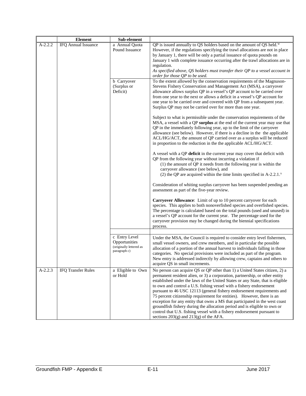|           | <b>Element</b>             | Sub-element             |                                                                                                                                                       |
|-----------|----------------------------|-------------------------|-------------------------------------------------------------------------------------------------------------------------------------------------------|
| $A-2.2.2$ | <b>IFQ Annual Issuance</b> | a Annual Quota          | QP is issued annually to QS holders based on the amount of QS held. <sup>w</sup>                                                                      |
|           |                            | Pound Issuance          | However, if the regulations specifying the trawl allocations are not in place                                                                         |
|           |                            |                         | by January 1, there will be only a partial issuance of quota pounds on                                                                                |
|           |                            |                         | January 1 with complete issuance occurring after the trawl allocations are in                                                                         |
|           |                            |                         | regulation.                                                                                                                                           |
|           |                            |                         | As specified above, QS holders must transfer their QP to a vessel account in                                                                          |
|           |                            |                         | order for those QP to be used.                                                                                                                        |
|           |                            | b Carryover             | To the extent allowed by the conservation requirements of the Magnuson-                                                                               |
|           |                            | (Surplus or             | Stevens Fishery Conservation and Management Act (MSA), a carryover                                                                                    |
|           |                            | Deficit)                | allowance allows surplus QP in a vessel's QP account to be carried over<br>from one year to the next or allows a deficit in a vessel's QP account for |
|           |                            |                         | one year to be carried over and covered with QP from a subsequent year.                                                                               |
|           |                            |                         | Surplus QP may not be carried over for more than one year.                                                                                            |
|           |                            |                         | Subject to what is permissible under the conservation requirements of the                                                                             |
|           |                            |                         | MSA, a vessel with a QP surplus at the end of the current year may use that                                                                           |
|           |                            |                         | QP in the immediately following year, up to the limit of the carryover                                                                                |
|           |                            |                         | allowance (see below). However, if there is a decline in the the applicable                                                                           |
|           |                            |                         | ACL/HG/ACT, the amount of QP carried over as a surplus will be reduced                                                                                |
|           |                            |                         | in proportion to the reduction in the the applicable ACL/HG/ACT.                                                                                      |
|           |                            |                         | A vessel with a QP deficit in the current year may cover that deficit with                                                                            |
|           |                            |                         | QP from the following year without incurring a violation if                                                                                           |
|           |                            |                         | (1) the amount of QP it needs from the following year is within the                                                                                   |
|           |                            |                         | carryover allowance (see below), and                                                                                                                  |
|           |                            |                         | (2) the QP are acquired within the time limits specified in $A-2.2.1$ .                                                                               |
|           |                            |                         | Consideration of whiting surplus carryover has been suspended pending an                                                                              |
|           |                            |                         | assessment as part of the five-year review.                                                                                                           |
|           |                            |                         | <b>Carryover Allowance:</b> Limit of up to 10 percent carryover for each                                                                              |
|           |                            |                         | species. This applies to both nonoverfished species and overfished species.                                                                           |
|           |                            |                         | The percentage is calculated based on the total pounds (used and unused) in                                                                           |
|           |                            |                         | a vessel's QP account for the current year. The percentage used for the                                                                               |
|           |                            |                         | carryover provision may be changed during the biennial specifications                                                                                 |
|           |                            |                         | process.                                                                                                                                              |
|           |                            | c Entry Level           | Under the MSA, the Council is required to consider entry level fishermen,                                                                             |
|           |                            | Opportunities           | small vessel owners, and crew members, and in particular the possible                                                                                 |
|           |                            | (originally lettered as | allocation of a portion of the annual harvest to individuals falling in those                                                                         |
|           |                            | paragraph c)            | categories. No special provisions were included as part of the program.                                                                               |
|           |                            |                         | New entry is addressed indirectly by allowing crew, captains and others to                                                                            |
|           |                            |                         | acquire QS in small increments.                                                                                                                       |
| $A-2.2.3$ | <b>IFQ Transfer Rules</b>  | a Eligible to Own       | No person can acquire QS or QP other than 1) a United States citizen, 2) a                                                                            |
|           |                            | or Hold                 | permanent resident alien, or 3) a corporation, partnership, or other entity                                                                           |
|           |                            |                         | established under the laws of the United States or any State, that is eligible                                                                        |
|           |                            |                         | to own and control a U.S. fishing vessel with a fishery endorsement<br>pursuant to 46 USC 12113 (general fishery endorsement requirements and         |
|           |                            |                         | 75 percent citizenship requirement for entities). However, there is an                                                                                |
|           |                            |                         | exception for any entity that owns a MS that participated in the west coast                                                                           |
|           |                            |                         | groundfish fishery during the allocation period and is eligible to own or                                                                             |
|           |                            |                         | control that U.S. fishing vessel with a fishery endorsement pursuant to                                                                               |
|           |                            |                         | sections $203(g)$ and $213(g)$ of the AFA.                                                                                                            |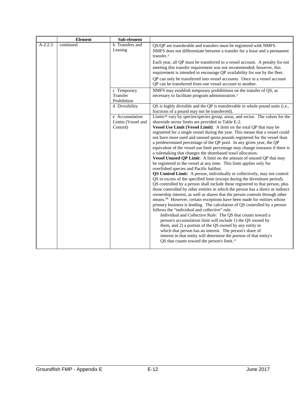|           | <b>Element</b> | Sub-element                            |                                                                                                                                                                                                                                                                                                                                                                                                                                                                                                                                                                                                                                                                                                                                                                                                                                                                                                                                                                                                                                                                                                                                                                                                                                                                                                                                                                                                                                                                                   |
|-----------|----------------|----------------------------------------|-----------------------------------------------------------------------------------------------------------------------------------------------------------------------------------------------------------------------------------------------------------------------------------------------------------------------------------------------------------------------------------------------------------------------------------------------------------------------------------------------------------------------------------------------------------------------------------------------------------------------------------------------------------------------------------------------------------------------------------------------------------------------------------------------------------------------------------------------------------------------------------------------------------------------------------------------------------------------------------------------------------------------------------------------------------------------------------------------------------------------------------------------------------------------------------------------------------------------------------------------------------------------------------------------------------------------------------------------------------------------------------------------------------------------------------------------------------------------------------|
| $A-2.2.3$ | continued      | <b>b</b> Transfers and<br>Leasing      | QS/QP are transferable and transfers must be registered with NMFS.<br>NMFS does not differentiate between a transfer for a lease and a permanent<br>transfer. <sup>y</sup>                                                                                                                                                                                                                                                                                                                                                                                                                                                                                                                                                                                                                                                                                                                                                                                                                                                                                                                                                                                                                                                                                                                                                                                                                                                                                                        |
|           |                |                                        | Each year, all QP must be transferred to a vessel account. A penalty for not<br>meeting this transfer requirement was not recommended; however, this<br>requirement is intended to encourage QP availability for use by the fleet.                                                                                                                                                                                                                                                                                                                                                                                                                                                                                                                                                                                                                                                                                                                                                                                                                                                                                                                                                                                                                                                                                                                                                                                                                                                |
|           |                |                                        | QP can only be transferred into vessel accounts. Once in a vessel account<br>QP can be transferred from one vessel account to another.                                                                                                                                                                                                                                                                                                                                                                                                                                                                                                                                                                                                                                                                                                                                                                                                                                                                                                                                                                                                                                                                                                                                                                                                                                                                                                                                            |
|           |                | c Temporary<br>Transfer<br>Prohibition | NMFS may establish temporary prohibitions on the transfer of QS, as<br>necessary to facilitate program administration. <sup>2</sup>                                                                                                                                                                                                                                                                                                                                                                                                                                                                                                                                                                                                                                                                                                                                                                                                                                                                                                                                                                                                                                                                                                                                                                                                                                                                                                                                               |
|           |                | d Divisibility                         | QS is highly divisible and the QP is transferrable in whole pound units (i.e.,<br>fractions of a pound may not be transferred).                                                                                                                                                                                                                                                                                                                                                                                                                                                                                                                                                                                                                                                                                                                                                                                                                                                                                                                                                                                                                                                                                                                                                                                                                                                                                                                                                   |
|           |                | e Accumulation<br>Limits (Vessel and   | Limits <sup>aa</sup> vary by species/species group, areas, and sector. The values for the<br>shoreside sector limits are provided in Table E-2.                                                                                                                                                                                                                                                                                                                                                                                                                                                                                                                                                                                                                                                                                                                                                                                                                                                                                                                                                                                                                                                                                                                                                                                                                                                                                                                                   |
|           |                | Control)                               | Vessel Use Limit (Vessel Limit): A limit on the total QP that may be<br>registered for a single vessel during the year. This means that a vessel could<br>not have more used and unused quota pounds registered for the vessel than<br>a predetermined percentage of the QP pool. In any given year, the QP<br>equivalent of the vessel use limit percentage may change inseason if there is<br>a rulemaking that changes the shorebased trawl allocation.<br>Vessel Unused QP Limit: A limit on the amount of unused QP that may<br>be registered to the vessel at any time. This limit applies only for<br>overfished species and Pacific halibut.<br>QS Control Limit: A person, individually or collectively, may not control<br>QS in excess of the specified limit (except during the divestiture period).<br>QS controlled by a person shall include those registered to that person, plus<br>those controlled by other entities in which the person has a direct or indirect<br>ownership interest, as well as shares that the person controls through other<br>means. <sup>bb</sup> However, certain exceptions have been made for entities whose<br>primary business is lending. The calculation of QS controlled by a person<br>follows the "individual and collective" rule.<br>Individual and Collective Rule: The QS that counts toward a<br>person's accumulation limit will include 1) the QS owned by<br>them, and 2) a portion of the QS owned by any entity in |
|           |                |                                        | which that person has an interest. The person's share of<br>interest in that entity will determine the portion of that entity's<br>QS that counts toward the person's limit. <sup>cc</sup>                                                                                                                                                                                                                                                                                                                                                                                                                                                                                                                                                                                                                                                                                                                                                                                                                                                                                                                                                                                                                                                                                                                                                                                                                                                                                        |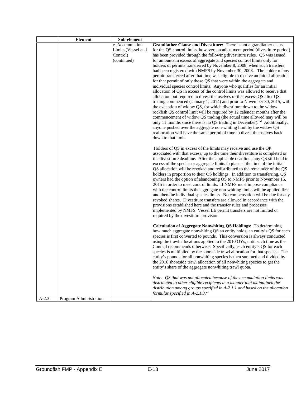|         | <b>Element</b>         | Sub-element        |                                                                                                                                                        |
|---------|------------------------|--------------------|--------------------------------------------------------------------------------------------------------------------------------------------------------|
|         |                        | e Accumulation     | Grandfather Clause and Divestiture: There is not a grandfather clause                                                                                  |
|         |                        | Limits (Vessel and | for the QS control limits, however, an adjustment period (divestiture period)                                                                          |
|         |                        | Control)           | has been provided through the following divestiture rules. QS was issued                                                                               |
|         |                        | (continued)        | for amounts in excess of aggregate and species control limits only for                                                                                 |
|         |                        |                    | holders of permits transferred by November 8, 2008, when such transfers                                                                                |
|         |                        |                    | had been registered with NMFS by November 30, 2008. The holder of any                                                                                  |
|         |                        |                    | permit transferred after that time was eligible to receive an initial allocation                                                                       |
|         |                        |                    | for that permit of only those QS that were within the aggregate and                                                                                    |
|         |                        |                    | individual species control limits. Anyone who qualifies for an initial<br>allocation of QS in excess of the control limits was allowed to receive that |
|         |                        |                    | allocation but required to divest themselves of that excess QS after QS                                                                                |
|         |                        |                    | trading commenced (January 1, 2014) and prior to November 30, 2015, with                                                                               |
|         |                        |                    | the exception of widow QS, for which divestiture down to the widow                                                                                     |
|         |                        |                    | rockfish QS control limit will be required by 12 calendar months after the                                                                             |
|         |                        |                    | commencement of widow QS trading (the actual time allowed may will be                                                                                  |
|         |                        |                    | only 11 months since there is no QS trading in December). <sup>dd</sup> Additionally,                                                                  |
|         |                        |                    | anyone pushed over the aggregate non-whiting limit by the widow QS                                                                                     |
|         |                        |                    | reallocation will have the same period of time to divest themselves back                                                                               |
|         |                        |                    | down to that limit.                                                                                                                                    |
|         |                        |                    |                                                                                                                                                        |
|         |                        |                    | Holders of QS in excess of the limits may receive and use the QP<br>associated with that excess, up to the time their divestiture is completed or      |
|         |                        |                    | the divestiture deadline. After the applicable deadline, any QS still held in                                                                          |
|         |                        |                    | excess of the species or aggregate limits in place at the time of the initial                                                                          |
|         |                        |                    | QS allocation will be revoked and redistributed to the remainder of the QS                                                                             |
|         |                        |                    | holders in proportion to their QS holdings. In addition to transferring, QS                                                                            |
|         |                        |                    | owners had the option of abandoning QS to NMFS prior to November 15,                                                                                   |
|         |                        |                    | 2015 in order to meet control limits. If NMFS must impose compliance                                                                                   |
|         |                        |                    | with the control limits the aggregate non-whiting limits will be applied first                                                                         |
|         |                        |                    | and then the individual species limits. No compensation will be due for any                                                                            |
|         |                        |                    | revoked shares. Divestiture transfers are allowed in accordance with the                                                                               |
|         |                        |                    | provisions established here and the transfer rules and processes                                                                                       |
|         |                        |                    | implemented by NMFS. Vessel LE permit transfers are not limited or                                                                                     |
|         |                        |                    | required by the divestiture provision.                                                                                                                 |
|         |                        |                    | Calculation of Aggregate Nonwhiting QS Holdings: To determining                                                                                        |
|         |                        |                    | how much aggregate nonwhiting QS an entity holds, an entity's QS for each                                                                              |
|         |                        |                    | species is first converted to pounds. This conversion is always conducted                                                                              |
|         |                        |                    | using the trawl allocations applied to the 2010 OYs, until such time as the                                                                            |
|         |                        |                    | Council recommends otherwise. Specifically, each entity's QS for each                                                                                  |
|         |                        |                    | species is multiplied by the shoreside trawl allocation for that species. The                                                                          |
|         |                        |                    | entity's pounds for all nonwhiting species is then summed and divided by                                                                               |
|         |                        |                    | the 2010 shoreside trawl allocation of all nonwhiting species to get the                                                                               |
|         |                        |                    | entity's share of the aggregate nonwhiting trawl quota.                                                                                                |
|         |                        |                    | Note: QS that was not allocated because of the accumulation limits was                                                                                 |
|         |                        |                    | distributed to other eligible recipients in a manner that maintained the                                                                               |
|         |                        |                    | distribution among groups specified in A-2.1.1 and based on the allocation                                                                             |
|         |                        |                    | formulas specified in A-2.1.3.ee                                                                                                                       |
| $A-2.3$ | Program Administration |                    |                                                                                                                                                        |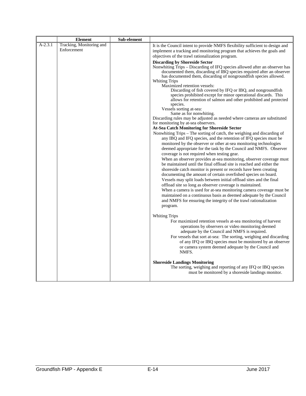|           | <b>Element</b>                          | Sub-element |                                                                                                                                                                                                                                                                                                                                                                                                                                                                                                                                                                                                                                                                                                                                                                                                                                                                                                                                                                                                                                                                                                                                                                                                                                                                                                                                                                                                                                                                                                                                                                                                                                                                                                                                                                    |
|-----------|-----------------------------------------|-------------|--------------------------------------------------------------------------------------------------------------------------------------------------------------------------------------------------------------------------------------------------------------------------------------------------------------------------------------------------------------------------------------------------------------------------------------------------------------------------------------------------------------------------------------------------------------------------------------------------------------------------------------------------------------------------------------------------------------------------------------------------------------------------------------------------------------------------------------------------------------------------------------------------------------------------------------------------------------------------------------------------------------------------------------------------------------------------------------------------------------------------------------------------------------------------------------------------------------------------------------------------------------------------------------------------------------------------------------------------------------------------------------------------------------------------------------------------------------------------------------------------------------------------------------------------------------------------------------------------------------------------------------------------------------------------------------------------------------------------------------------------------------------|
| $A-2.3.1$ | Tracking, Monitoring and<br>Enforcement |             | It is the Council intent to provide NMFS flexibility sufficient to design and<br>implement a tracking and monitoring program that achieves the goals and<br>objectives of the trawl rationalization program.                                                                                                                                                                                                                                                                                                                                                                                                                                                                                                                                                                                                                                                                                                                                                                                                                                                                                                                                                                                                                                                                                                                                                                                                                                                                                                                                                                                                                                                                                                                                                       |
|           |                                         |             | <b>Discarding by Shoreside Sector</b><br>Nonwhiting Trips – Discarding of IFQ species allowed after an observer has<br>documented them, discarding of IBQ species required after an observer<br>has documented them, discarding of nongroundfish species allowed.<br><b>Whiting Trips</b><br>Maximized retention vessels:<br>Discarding of fish covered by IFQ or IBQ, and nongroundfish<br>species prohibited except for minor operational discards. This<br>allows for retention of salmon and other prohibited and protected<br>species.<br>Vessels sorting at-sea:<br>Same as for nonwhiting.<br>Discarding rules may be adjusted as needed where cameras are substituted<br>for monitoring by at-sea observers.<br>At-Sea Catch Monitoring for Shoreside Sector<br>Nonwhiting Trips - The sorting of catch, the weighing and discarding of<br>any IBQ and IFQ species, and the retention of IFQ species must be<br>monitored by the observer or other at-sea monitoring technologies<br>deemed appropriate for the task by the Council and NMFS. Observer<br>coverage is not required when testing gear.<br>When an observer provides at-sea monitoring, observer coverage must<br>be maintained until the final offload site is reached and either the<br>shoreside catch monitor is present or records have been creating<br>documenting the amount of certain overfished species on board.<br>Vessels may split loads between initial offload sites and the final<br>offload site so long as observer coverage is maintained.<br>When a camera is used for at-sea monitoring camera coverage must be<br>maintained on a continuous basis as deemed adequate by the Council<br>and NMFS for ensuring the integrity of the trawl rationalization<br>program. |
|           |                                         |             | <b>Whiting Trips</b><br>For maximized retention vessels at-sea monitoring of harvest<br>operations by observers or video monitoring deemed<br>adequate by the Council and NMFS is required.<br>For vessels that sort at-sea: The sorting, weighing and discarding<br>of any IFQ or IBQ species must be monitored by an observer<br>or camera system deemed adequate by the Council and<br>NMFS.<br><b>Shoreside Landings Monitoring</b><br>The sorting, weighing and reporting of any IFQ or IBQ species<br>must be monitored by a shoreside landings monitor.                                                                                                                                                                                                                                                                                                                                                                                                                                                                                                                                                                                                                                                                                                                                                                                                                                                                                                                                                                                                                                                                                                                                                                                                     |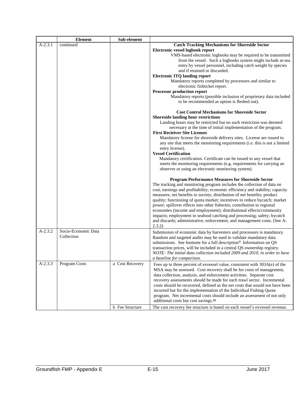|           | <b>Element</b>      | Sub-element     |                                                                                                                                             |
|-----------|---------------------|-----------------|---------------------------------------------------------------------------------------------------------------------------------------------|
| $A-2.3.1$ | continued           |                 | <b>Catch Tracking Mechanisms for Shoreside Sector</b>                                                                                       |
|           |                     |                 | Electronic vessel logbook report                                                                                                            |
|           |                     |                 | VMS-based electronic logbooks may be required to be transmitted                                                                             |
|           |                     |                 | from the vessel. Such a logbooks system might include at-sea                                                                                |
|           |                     |                 | entry by vessel personnel, including catch weight by species                                                                                |
|           |                     |                 | and if retained or discarded.                                                                                                               |
|           |                     |                 | <b>Electronic ITQ landing report</b>                                                                                                        |
|           |                     |                 | Mandatory reports completed by processors and similar to<br>electronic fishticket report.                                                   |
|           |                     |                 | Processor production report                                                                                                                 |
|           |                     |                 | Mandatory reports (possible inclusion of proprietary data included                                                                          |
|           |                     |                 | to be recommended as option is fleshed out).                                                                                                |
|           |                     |                 | <b>Cost Control Mechanisms for Shoreside Sector</b><br><b>Shoreside landing hour restrictions</b>                                           |
|           |                     |                 | Landing hours may be restricted but no such restriction was deemed                                                                          |
|           |                     |                 | necessary at the time of initial implementation of the program.                                                                             |
|           |                     |                 | <b>First Recieiver Site Licenses</b>                                                                                                        |
|           |                     |                 | Mandatory license for shoreside delivery sites. License are issued to                                                                       |
|           |                     |                 | any site that meets the monitoring requirements (i.e. this is not a limited                                                                 |
|           |                     |                 | entry license).                                                                                                                             |
|           |                     |                 | <b>Vessel Certification</b>                                                                                                                 |
|           |                     |                 | Mandatory certification. Certificate can be issued to any vessel that                                                                       |
|           |                     |                 | meets the monitoring requirements (e.g. requirements for carrying an                                                                        |
|           |                     |                 | observer or using an electronic monitoring system).                                                                                         |
|           |                     |                 | <b>Program Performance Measures for Shoreside Sector</b>                                                                                    |
|           |                     |                 | The tracking and monitoring program includes the collection of data on                                                                      |
|           |                     |                 | cost, earnings and profitability; economic efficiency and stability; capacity                                                               |
|           |                     |                 | measures; net benefits to society; distribution of net benefits; product                                                                    |
|           |                     |                 | quality; functioning of quota market; incentives to reduce bycatch; market                                                                  |
|           |                     |                 | power; spillover effects into other fisheries; contribution to regional                                                                     |
|           |                     |                 | economies (income and employment); distributional effects/community                                                                         |
|           |                     |                 | impacts; employment in seafood catching and processing; safety; bycatch                                                                     |
|           |                     |                 | and discards; administrative, enforcement, and management costs. (See A-                                                                    |
| $A-2.3.2$ | Socio-Economic Data |                 | 2.3.2)                                                                                                                                      |
|           | Collection          |                 | Submission of economic data by harvesters and processors is mandatory.<br>Random and targeted audits may be used to validate mandatory data |
|           |                     |                 | submissions. See footnote for a full description <sup>ff</sup> Information on QS                                                            |
|           |                     |                 | transaction prices, will be included in a central QS ownership registry.                                                                    |
|           |                     |                 | NOTE: The initial data collection included 2009 and 2010, in order to have                                                                  |
|           |                     |                 | a baseline for comparison.                                                                                                                  |
| $A-2.3.3$ | Program Costs       | a Cost Recovery | Fees up to three percent of exvessel value, consistent with 303A(e) of the                                                                  |
|           |                     |                 | MSA may be assessed. Cost recovery shall be for costs of management,                                                                        |
|           |                     |                 | data collection, analysis, and enforcement activities. Separate cost                                                                        |
|           |                     |                 | recovery assessments should be made for each trawl sector. Incremental                                                                      |
|           |                     |                 | costs should be recovered, defined as the net costs that would not have been                                                                |
|           |                     |                 | incurred but for the implementation of the Individual Fishing Quota                                                                         |
|           |                     |                 | program. Net incremental costs should include an assessment of not only                                                                     |
|           |                     |                 | additional costs but cost savings. <sup>gg</sup>                                                                                            |
|           |                     | b Fee Structure | The cost recovery fee structure is based on each vessel's exvessel revenue.                                                                 |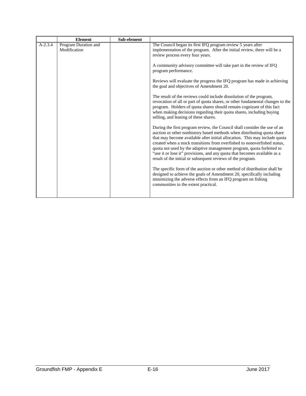|           | <b>Element</b>                       | Sub-element |                                                                                                                                                                                                                                                                                                                                                                                                                                                                                                                                                                                                                                                                                                                                                                                                                                                                                                                                                                                                                                                                                                                                                                                                                                                                                                                                                                                                                                                                                                                                                              |
|-----------|--------------------------------------|-------------|--------------------------------------------------------------------------------------------------------------------------------------------------------------------------------------------------------------------------------------------------------------------------------------------------------------------------------------------------------------------------------------------------------------------------------------------------------------------------------------------------------------------------------------------------------------------------------------------------------------------------------------------------------------------------------------------------------------------------------------------------------------------------------------------------------------------------------------------------------------------------------------------------------------------------------------------------------------------------------------------------------------------------------------------------------------------------------------------------------------------------------------------------------------------------------------------------------------------------------------------------------------------------------------------------------------------------------------------------------------------------------------------------------------------------------------------------------------------------------------------------------------------------------------------------------------|
| $A-2.3.4$ | Program Duration and<br>Modification |             | The Council began its first IFQ program review 5 years after<br>implementation of the program. After the initial review, there will be a<br>review process every four years.<br>A community advisory committee will take part in the review of IFQ<br>program performance.<br>Reviews will evaluate the progress the IFQ program has made in achieving<br>the goal and objectives of Amendment 20.<br>The result of the reviews could include dissolution of the program,<br>revocation of all or part of quota shares, or other fundamental changes to the<br>program. Holders of quota shares should remain cognizant of this fact<br>when making decisions regarding their quota shares, including buying<br>selling, and leasing of these shares.<br>During the first program review, the Council shall consider the use of an<br>auction or other nonhistory based methods when distributing quota share<br>that may become available after initial allocation. This may include quota<br>created when a stock transitions from overfished to nonoverfished status,<br>quota not used by the adaptive management program, quota forfeited to<br>"use it or lose it" provisions, and any quota that becomes available as a<br>result of the initial or subsequent reviews of the program.<br>The specific form of the auction or other method of distribution shall be<br>designed to achieve the goals of Amendment 20, specifically including<br>minimizing the adverse effects from an IFQ program on fishing<br>communities to the extent practical. |
|           |                                      |             |                                                                                                                                                                                                                                                                                                                                                                                                                                                                                                                                                                                                                                                                                                                                                                                                                                                                                                                                                                                                                                                                                                                                                                                                                                                                                                                                                                                                                                                                                                                                                              |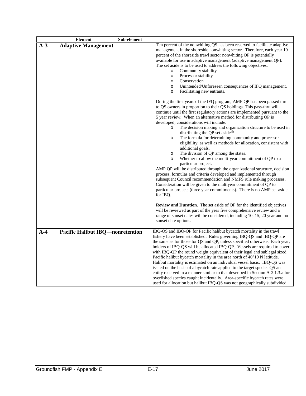|       | <b>Element</b>                          | Sub-element |                                                                                                                                                                                                                                                                                                                                                                                                                                                                                                                                                                                                                                                                                                                                                                                                                                                                        |
|-------|-----------------------------------------|-------------|------------------------------------------------------------------------------------------------------------------------------------------------------------------------------------------------------------------------------------------------------------------------------------------------------------------------------------------------------------------------------------------------------------------------------------------------------------------------------------------------------------------------------------------------------------------------------------------------------------------------------------------------------------------------------------------------------------------------------------------------------------------------------------------------------------------------------------------------------------------------|
| $A-3$ | <b>Adaptive Management</b>              |             | Ten percent of the nonwhiting QS has been reserved to facilitate adaptive                                                                                                                                                                                                                                                                                                                                                                                                                                                                                                                                                                                                                                                                                                                                                                                              |
|       |                                         |             | management in the shoreside nonwhiting sector. Therefore, each year 10<br>percent of the shoreside trawl sector nonwhiting QP is potentially<br>available for use in adaptive management (adaptive management QP).<br>The set aside is to be used to address the following objectives.<br>Community stability<br>$\circ$<br>Processor stability<br>$\circ$<br>Conservation<br>$\circ$<br>Unintended/Unforeseen consequences of IFQ management.<br>$\circ$<br>Facilitating new entrants.<br>$\circ$<br>During the first years of the IFQ program, AMP QP has been passed thru<br>to QS owners in proportion to their QS holdings. This pass-thru will<br>continue until the first regulatory actions are implemented pursuant to the<br>5 year review. When an alternative method for distributing QP is                                                                |
|       |                                         |             | developed, considerations will include.<br>The decision making and organization structure to be used in<br>$\circ$<br>distributing the QP set aside <sup>hh</sup><br>The formula for determining community and processor<br>$\circ$<br>eligibility, as well as methods for allocation, consistent with<br>additional goals.<br>The division of QP among the states.<br>$\circ$<br>Whether to allow the multi-year commitment of QP to a<br>$\circ$<br>particular project.<br>AMP QP will be distributed through the organizational structure, decision<br>process, formulas and criteria developed and implemented through<br>subsequent Council recommendation and NMFS rule making processes.<br>Consideration will be given to the multiyear commitment of QP to<br>particular projects (three year commitments). There is no AMP set-aside<br>for IBQ.             |
|       |                                         |             | Review and Duration. The set aside of QP for the identified objectives<br>will be reviewed as part of the year five comprehensive review and a<br>range of sunset dates will be considered, including 10, 15, 20 year and no<br>sunset date options.                                                                                                                                                                                                                                                                                                                                                                                                                                                                                                                                                                                                                   |
| $A-4$ | <b>Pacific Halibut IBQ—nonretention</b> |             | IBQ-QS and IBQ-QP for Pacific halibut bycatch mortality in the trawl<br>fishery have been established. Rules governing IBQ-QS and IBQ-QP are<br>the same as for those for QS and QP, unless specified otherwise. Each year,<br>holders of IBQ-QS will be allocated IBQ-QP. Vessels are required to cover<br>with IBQ-QP the round weight equivalent of their legal and sublegal sized<br>Pacific halibut bycatch mortality in the area north of 40°10 N latitude.<br>Halibut mortality is estimated on an individual vessel basis. IBQ-QS was<br>issued on the basis of a bycatch rate applied to the target species QS and<br>entity received in a manner similar to that described in Section A-2.1.3.a for<br>overfished species caught incidentally. Area-specific bycatch rates were<br>used for allocation but halibut IBQ-QS was not geographically subdivided. |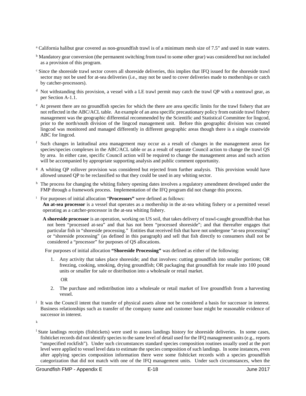- <span id="page-20-0"></span><sup>a</sup> California halibut gear covered as non-groundfish trawl is of a minimum mesh size of 7.5" and used in state waters.
- <span id="page-20-1"></span><sup>b</sup> Mandatory gear conversion (the permanent switching from trawl to some other gear) was considered but not included as a provision of this program.
- <span id="page-20-2"></span><sup>c</sup> Since the shoreside trawl sector covers all shoreside deliveries, this implies that IFQ issued for the shoreside trawl sector may not be used for at-sea deliveries (i.e., may not be used to cover deliveries made to motherships or catch by catcher-processors).
- <span id="page-20-3"></span> $d$  Not withstanding this provision, a vessel with a LE trawl permit may catch the trawl QP with a nontrawl gear, as per Section A-1.1.
- <span id="page-20-4"></span>e At present there are no groundfish species for which the there are area specific limits for the trawl fishery that are not reflected in the ABC/ACL table. An example of an area specific precautionary policy from outside trawl fishery management was the geographic differential recommended by the Scientific and Statistical Committee for lingcod, prior to the north/south division of the lingcod management unit. Before this geographic division was created lingcod was monitored and managed differently in different geographic areas though there is a single coastwide ABC for lingcod.
- <span id="page-20-5"></span><sup>f</sup> Such changes in latitudinal area management may occur as a result of changes in the management areas for species/species complexes in the ABC/ACL table or as a result of separate Council action to change the trawl QS by area. In either case, specific Council action will be required to change the management areas and such action will be accompanied by appropriate supporting analysis and public comment opportunity.
- <sup>g</sup> A whiting QP rollover provision was considered but rejected from further analysis. This provision would have allowed unused QP to be reclassified so that they could be used in any whiting sector.
- h The process for changing the whiting fishery opening dates involves a regulatory amendment developed under the FMP through a framework process. Implementation of the IFQ program did not change this process.
- <sup>i</sup> For purposes of initial allocation "**Processors"** were defined as follows:
	- **An at-sea processor** is a vessel that operates as a mothership in the at-sea whiting fishery or a permitted vessel operating as a catcher-processor in the at-sea whiting fishery.
	- **A shoreside processor** is an operation, working on US soil, that takes delivery of trawl-caught groundfish that has not been "processed at-sea" and that has not been "processed shoreside"; and that thereafter engages that particular fish in "shoreside processing." Entities that received fish that have not undergone "at-sea processing" or "shoreside processing" (as defined in this paragraph) and sell that fish directly to consumers shall not be considered a "processor" for purposes of QS allocations.

For purposes of initial allocation **"Shoreside Processing"** was defined as either of the following:

1. Any activity that takes place shoreside; and that involves: cutting groundfish into smaller portions; OR freezing, cooking, smoking, drying groundfish; OR packaging that groundfish for resale into 100 pound units or smaller for sale or distribution into a wholesale or retail market.

OR

- 2. The purchase and redistribution into a wholesale or retail market of live groundfish from a harvesting vessel.
- $j$  It was the Council intent that transfer of physical assets alone not be considered a basis for successor in interest. Business relationships such as transfer of the company name and customer base might be reasonable evidence of successor in interest.

k

<sup>l</sup> State landings receipts (fishtickets) were used to assess landings history for shoreside deliveries. In some cases, fishticket records did not identify species to the same level of detail used for the IFQ management units (e.g., reports "unspecified rockfish"). Under such circumstances standard species composition routines usually used at the port level were applied to vessel level data to estimate the species composition of such landings. In some instances, even after applying species composition information there were some fishticket records with a species groundfish categorization that did not match with one of the IFQ management units. Under such circumstances, when the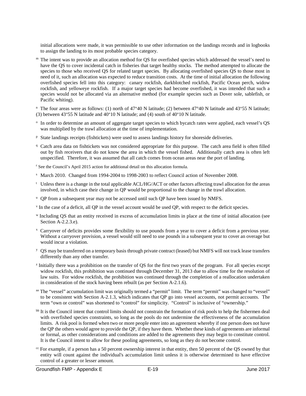initial allocations were made, it was permissible to use other information on the landings records and in logbooks to assign the landing to its most probable species category.

m The intent was to provide an allocation method for QS for overfished species which addressed the vessel's need to have the QS to cover incidental catch in fisheries that target healthy stocks. The method attempted to allocate the species to those who received QS for related target species. By allocating overfished species QS to those most in need of it, such an allocation was expected to reduce transition costs. At the time of initial allocation the following overfished species fell into this category: canary rockfish, darkblotched rockfish, Pacific Ocean perch, widow rockfish, and yelloweye rockfish. If a major target species had become overfished, it was intended that such a species would not be allocated via an alternative method (for example species such as Dover sole, sablefish, or Pacific whiting).

<sup>n</sup> The four areas were as follows: (1) north of 47°40 N latitude; (2) between 47°40 N latitude and 43°55 N latitude; (3) between 43°55 N latitude and 40°10 N latitude; and (4) south of 40°10 N latitude.

- <sup>o</sup> In order to determine an amount of aggregate target species to which bycatch rates were applied, each vessel's QS was multiplied by the trawl allocation at the time of implementation.
- <sup>p</sup> State landings receipts (fishtickets) were used to assess landings history for shoreside deliveries.
- <sup>q</sup> Catch area data on fishtickets was not considered appropriate for this purpose. The catch area field is often filled out by fish receivers that do not know the area in which the vessel fished. Additionally catch area is often left unspecified. Therefore, it was assumed that all catch comes from ocean areas near the port of landing.
- <span id="page-21-0"></span><sup>r</sup> See the Council's April 2015 action for additional detail on this allocation formula.
- <sup>s</sup> March 2010. Changed from 1994-2004 to 1998-2003 to reflect Council action of November 2008.
- <span id="page-21-1"></span> $<sup>t</sup>$  Unless there is a change in the total applicable ACL/HG/ACT or other factors affecting trawl allocation for the areas</sup> involved, in which case their change in QP would be proportional to the change in the trawl allocation.
- <sup>u</sup> QP from a subsequent year may not be accessed until such QP have been issued by NMFS.
- <sup>v</sup> In the case of a deficit, all QP in the vessel account would be used QP, with respect to the deficit species.
- <sup>w</sup> Including QS that an entity received in excess of accumulation limits in place at the time of initial allocation (see Section A-2.2.3.e).
- <sup>x</sup> Carryover of deficits provides some flexibility to use pounds from a year to cover a deficit from a previous year. Without a carryover provision, a vessel would still need to use pounds in a subsequent year to cover an overage but would incur a violation.
- <sup>y</sup> QS may be transferred on a temporary basis through private contract (leased) but NMFS will not track lease transfers differently than any other transfer.
- <sup>z</sup> Initially there was a prohibition on the transfer of QS for the first two years of the program. For all species except widow rockfish, this prohibition was continued through December 31, 2013 due to allow time for the resolution of law suits. For widow rockfish, the prohibition was continued through the completion of a reallocation undertaken in consideration of the stock having been rebuilt (as per Section A-2.1.6).
- aa The "vessel" accumulation limit was originally termed a "permit" limit. The term "permit" was changed to "vessel" to be consistent with Section A-2.1.3, which indicates that QP go into vessel accounts, not permit accounts. The term "own or control" was shortened to "control" for simplicity. "Control" is inclusive of "ownership."
- <sup>bb</sup> It is the Council intent that control limits should not constrain the formation of risk pools to help the fishermen deal with overfished species constraints, so long as the pools do not undermine the effectiveness of the accumulation limits. A risk pool is formed when two or more people enter into an agreement whereby if one person does not have the QP the others would agree to provide the QP, if they have them. Whether these kinds of agreements are informal or formal, as other considerations and conditions are added to the agreements they may begin to constitute control. It is the Council intent to allow for these pooling agreements, so long as they do not become control.
- <sup>cc</sup> For example, if a person has a 50 percent ownership interest in that entity, then 50 percent of the QS owned by that entity will count against the individual's accumulation limit unless it is otherwise determined to have effective control of a greater or lesser amount.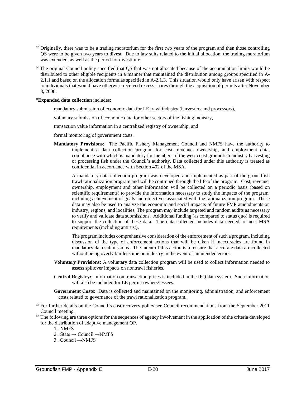- <sup>dd</sup> Originally, there was to be a trading moratorium for the first two years of the program and then those controlling QS were to be given two years to divest. Due to law suits related to the initial allocation, the trading moratorium was extended, as well as the period for divestiture.
- ee The original Council policy specified that QS that was not allocated because of the accumulation limits would be distributed to other eligible recipients in a manner that maintained the distribution among groups specified in A-2.1.1 and based on the allocation formulas specified in A-2.1.3. This situation would only have arisen with respect to individuals that would have otherwise received excess shares through the acquisition of permits after November 8, 2008.

#### ff**Expanded data collection** includes:

mandatory submission of economic data for LE trawl industry (harvesters and processors),

voluntary submission of economic data for other sectors of the fishing industry,

transaction value information in a centralized registry of ownership, and

formal monitoring of government costs.

**Mandatory Provisions:** The Pacific Fishery Management Council and NMFS have the authority to implement a data collection program for cost, revenue, ownership, and employment data, compliance with which is mandatory for members of the west coast groundfish industry harvesting or processing fish under the Council's authority. Data collected under this authority is treated as confidential in accordance with Section 402 of the MSA.

<span id="page-22-0"></span>A mandatory data collection program was developed and implemented as part of the groundfish trawl rationalization program and will be continued through the life of the program. Cost, revenue, ownership, employment and other information will be collected on a periodic basis (based on scientific requirements) to provide the information necessary to study the impacts of the program, including achievement of goals and objectives associated with the rationalization program. These data may also be used to analyze the economic and social impacts of future FMP amendments on industry, regions, and localities. The program may include targeted and random audits as necessary to verify and validate data submissions. Additional funding (as compared to status quo) is required to support the collection of these data. The data collected includes data needed to meet MSA requirements (including antirust).

The program includes comprehensive consideration of the enforcement of such a program, including discussion of the type of enforcement actions that will be taken if inaccuracies are found in mandatory data submissions. The intent of this action is to ensure that accurate data are collected without being overly burdensome on industry in the event of unintended errors.

- **Voluntary Provisions:** A voluntary data collection program will be used to collect information needed to assess spillover impacts on nontrawl fisheries.
- **Central Registry:** Information on transaction prices is included in the IFQ data system. Such information will also be included for LE permit owners/lessees.

**Government Costs:** Data is collected and maintained on the monitoring, administration, and enforcement costs related to governance of the trawl rationalization program.

- <span id="page-22-1"></span><sup>gg</sup> For further details on the Council's cost recovery policy see Council recommendations from the September 2011 Council meeting.
- hh The following are three options for the sequences of agency involvement in the application of the criteria developed for the distribution of adaptive management QP.
	- 1. NMFS
	- 2. State  $\rightarrow$  Council  $\rightarrow$ NMFS
	- 3. Council →NMFS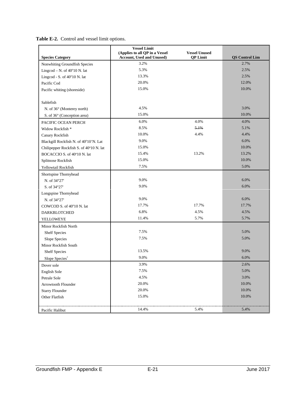<span id="page-23-8"></span>

|  |  |  | Table E-2. Control and vessel limit options. |  |
|--|--|--|----------------------------------------------|--|
|--|--|--|----------------------------------------------|--|

<span id="page-23-7"></span><span id="page-23-6"></span><span id="page-23-5"></span><span id="page-23-4"></span><span id="page-23-3"></span><span id="page-23-2"></span><span id="page-23-1"></span><span id="page-23-0"></span>

| <b>Species Category</b>                 | <b>Vessel Limit</b><br>(Applies to all QP in a Vessel<br><b>Account, Used and Unused)</b> | <b>Vessel Unused</b><br><b>QP</b> Limit | <b>QS</b> Control Lim |
|-----------------------------------------|-------------------------------------------------------------------------------------------|-----------------------------------------|-----------------------|
| Nonwhiting Groundfish Species           | 3.2%                                                                                      |                                         | 2.7%                  |
| Lingcod – N. of $40^{\circ}10$ N. lat   | 5.3%                                                                                      |                                         | 2.5%                  |
| Lingcod - S. of $40^{\circ}10$ N. lat   | 13.3%                                                                                     |                                         | 2.5%                  |
| Pacific Cod                             | 20.0%                                                                                     |                                         | 12.0%                 |
| Pacific whiting (shoreside)             | 15.0%                                                                                     |                                         | 10.0%                 |
|                                         |                                                                                           |                                         |                       |
| Sablefish                               |                                                                                           |                                         |                       |
| N. of 36° (Monterey north)              | 4.5%                                                                                      |                                         | 3.0%                  |
| S. of 36° (Conception area)             | 15.0%                                                                                     |                                         | 10.0%                 |
| PACIFIC OCEAN PERCH                     | 6.0%                                                                                      | 4.0%                                    | 4.0%                  |
| Widow Rockfish *                        | 8.5%                                                                                      | 5.1%                                    | 5.1%                  |
| Canary Rockfish                         | 10.0%                                                                                     | 4.4%                                    | 4.4%                  |
| Blackgill Rockfish N. of 40°10'N. Lat   | 9.0%                                                                                      |                                         | 6.0%                  |
| Chilipepper Rockfish S. of 40°10 N. lat | 15.0%                                                                                     |                                         | 10.0%                 |
| BOCACCIO S. of 40°10 N. lat             | 15.4%                                                                                     | 13.2%                                   | 13.2%                 |
| Splitnose Rockfish                      | 15.0%                                                                                     |                                         | 10.0%                 |
| Yellowtail Rockfish                     | 7.5%                                                                                      |                                         | 5.0%                  |
| Shortspine Thornyhead                   |                                                                                           |                                         |                       |
| N. of 34°27'                            | 9.0%                                                                                      |                                         | 6.0%                  |
| S. of 34°27'                            | 9.0%                                                                                      |                                         | 6.0%                  |
| Longspine Thornyhead                    |                                                                                           |                                         |                       |
| N. of 34°27'                            | 9.0%                                                                                      |                                         | 6.0%                  |
| COWCOD S. of 40°10 N. lat               | 17.7%                                                                                     | 17.7%                                   | 17.7%                 |
| DARKBLOTCHED                            | 6.8%                                                                                      | 4.5%                                    | 4.5%                  |
| YELLOWEYE                               | 11.4%                                                                                     | 5.7%                                    | 5.7%                  |
| Minor Rockfish North                    |                                                                                           |                                         |                       |
| <b>Shelf Species</b>                    | 7.5%                                                                                      |                                         | 5.0%                  |
| Slope Species                           | 7.5%                                                                                      |                                         | 5.0%                  |
| Minor Rockfish South                    |                                                                                           |                                         |                       |
| <b>Shelf Species</b>                    | 13.5%                                                                                     |                                         | 9.0%                  |
| Slope Species*                          | 9.0%                                                                                      |                                         | 6.0%                  |
| Dover sole                              | 3.9%                                                                                      |                                         | 2.6%                  |
| English Sole                            | 7.5%                                                                                      |                                         | 5.0%                  |
| Petrale Sole                            | 4.5%                                                                                      |                                         | 3.0%                  |
| Arrowtooth Flounder                     | 20.0%                                                                                     |                                         | 10.0%                 |
| <b>Starry Flounder</b>                  | 20.0%                                                                                     |                                         | 10.0%                 |
| Other Flatfish                          | 15.0%                                                                                     |                                         | 10.0%                 |
|                                         |                                                                                           |                                         |                       |
| Pacific Halibut                         | 14.4%                                                                                     | 5.4%                                    | 5.4%                  |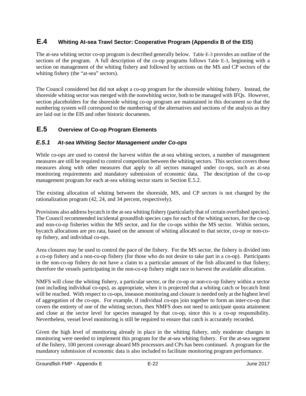## <span id="page-24-0"></span>**E.4 Whiting At-sea Trawl Sector: Cooperative Program (Appendix B of the EIS)**

The at-sea whiting sector co-op program is described generally below. [Table E-3](#page-26-6) provides an outline of the sections of the program. A full description of the co-op programs follows [Table E-3,](#page-26-6) beginning with a section on management of the whiting fishery and followed by sections on the MS and CP sectors of the whiting fishery (the "at-sea" sectors).

The Council considered but did not adopt a co-op program for the shoreside whiting fishery. Instead, the shoreside whiting sector was merged with the nonwhiting sector, both to be managed with IFQs. However, section placeholders for the shoreside whiting co-op program are maintained in this document so that the numbering system will correspond to the numbering of the alternatives and sections of the analysis as they are laid out in the EIS and other historic documents.

## <span id="page-24-1"></span>**E.5 Overview of Co-op Program Elements**

#### <span id="page-24-2"></span>*E.5.1 At-sea Whiting Sector Management under Co-ops*

While co-ops are used to control the harvest within the at-sea whiting sectors, a number of management measures are still be required to control competition between the whiting sectors. This section covers those measures along with other measures that apply to all sectors managed under co-ops, such as at-sea monitoring requirements and mandatory submission of economic data. The description of the co-op management program for each at-sea whiting sector starts in Section [E.5.2.](#page-25-0)

<span id="page-24-5"></span><span id="page-24-4"></span><span id="page-24-3"></span>The existing allocation of whiting between the shoreside, MS, and CP sectors is not changed by the rationalization program (42, 24, and 34 percent, respectively).

<span id="page-24-6"></span>Provisions also address bycatch in the at-sea whiting fishery (particularly that of certain overfished species). The Council recommended incidental groundfish species caps for each of the whiting sectors, for the co-op and non-co-op fisheries within the MS sector, and for the co-ops within the MS sector. Within sectors, bycatch allocations are pro rata, based on the amount of whiting allocated to that sector, co-op or non-coop fishery, and individual co-ops.

Area closures may be used to control the pace of the fishery. For the MS sector, the fishery is divided into a co-op fishery and a non-co-op fishery (for those who do not desire to take part in a co-op). Participants in the non-co-op fishery do not have a claim to a particular amount of the fish allocated to that fishery; therefore the vessels participating in the non-co-op fishery might race to harvest the available allocation.

NMFS will close the whiting fishery, a particular sector, or the co-op or non-co-op fishery within a sector (not including individual co-ops), as appropriate, when it is projected that a whiting catch or bycatch limit will be reached. With respect to co-ops, inseason monitoring and closure is needed only at the highest level of aggregation of the co-ops. For example, if individual co-ops join together to form an inter-co-op that covers the entirety of one of the whiting sectors, then NMFS does not need to anticipate quota attainment and close at the sector level for species managed by that co-op, since this is a co-op responsibility. Nevertheless, vessel level monitoring is still be required to ensure that catch is accurately recorded.

Given the high level of monitoring already in place in the whiting fishery, only moderate changes in monitoring were needed to implement this program for the at-sea whiting fishery. For the at-sea segment of the fishery, 100 percent coverage aboard MS processors and CPs has been continued. A program for the mandatory submission of economic data is also included to facilitate monitoring program performance.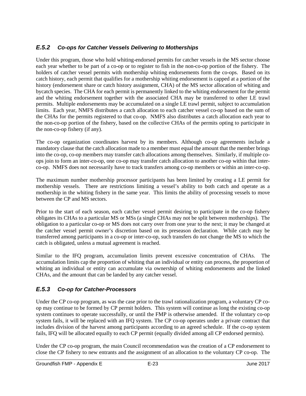## <span id="page-25-0"></span>*E.5.2 Co-ops for Catcher Vessels Delivering to Motherships*

Under this program, those who hold whiting-endorsed permits for catcher vessels in the MS sector choose each year whether to be part of a co-op or to register to fish in the non-co-op portion of the fishery. The holders of catcher vessel permits with mothership whiting endorsements form the co-ops. Based on its catch history, each permit that qualifies for a mothership whiting endorsement is capped at a portion of the history (endorsement share or catch history assignment, CHA) of the MS sector allocation of whiting and bycatch species. The CHA for each permit is permanently linked to the whiting endorsement for the permit and the whiting endorsement together with the associated CHA may be transferred to other LE trawl permits. Multiple endorsements may be accumulated on a single LE trawl permit, subject to accumulation limits. Each year, NMFS distributes a catch allocation to each catcher vessel co-op based on the sum of the CHAs for the permits registered to that co-op. NMFS also distributes a catch allocation each year to the non-co-op portion of the fishery, based on the collective CHAs of the permits opting to participate in the non-co-op fishery (if any).

The co-op organization coordinates harvest by its members. Although co-op agreements include a mandatory clause that the catch allocation made to a member must equal the amount that the member brings into the co-op, co-op members may transfer catch allocations among themselves. Similarly, if multiple coops join to form an inter-co-op, one co-op may transfer catch allocation to another co-op within that interco-op. NMFS does not necessarily have to track transfers among co-op members or within an inter-co-op.

The maximum number mothership processor participants has been limited by creating a LE permit for mothership vessels. There are restrictions limiting a vessel's ability to both catch and operate as a mothership in the whiting fishery in the same year. This limits the ability of processing vessels to move between the CP and MS sectors.

<span id="page-25-3"></span><span id="page-25-2"></span>Prior to the start of each season, each catcher vessel permit desiring to participate in the co-op fishery obligates its CHAs to a particular MS or MSs (a single CHAs may not be split between motherships). The obligation to a particular co-op or MS does not carry over from one year to the next; it may be changed at the catcher vessel permit owner's discretion based on its preseason declaration. While catch may be transferred among participants in a co-op or inter-co-op, such transfers do not change the MS to which the catch is obligated, unless a mutual agreement is reached.

Similar to the IFQ program, accumulation limits prevent excessive concentration of CHAs. The accumulation limits cap the proportion of whiting that an individual or entity can process, the proportion of whiting an individual or entity can accumulate via ownership of whiting endorsements and the linked CHAs, and the amount that can be landed by any catcher vessel.

## <span id="page-25-1"></span>*E.5.3 Co-op for Catcher-Processors*

Under the CP co-op program, as was the case prior to the trawl rationalization program, a voluntary CP coop may continue to be formed by CP permit holders. This system will continue as long the existing co-op system continues to operate successfully, or until the FMP is otherwise amended. If the voluntary co-op system fails, it will be replaced with an IFQ system. The CP co-op operates under a private contract that includes division of the harvest among participants according to an agreed schedule. If the co-op system fails, IFQ will be allocated equally to each CP permit (equally divided among all CP endorsed permits).

Under the CP co-op program, the main Council recommendation was the creation of a CP endorsement to close the CP fishery to new entrants and the assignment of an allocation to the voluntary CP co-op. The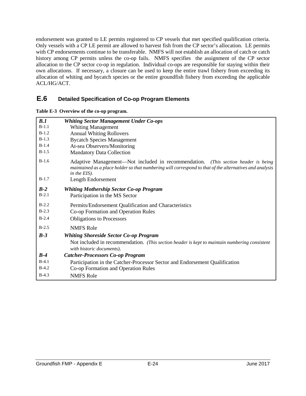endorsement was granted to LE permits registered to CP vessels that met specified qualification criteria. Only vessels with a CP LE permit are allowed to harvest fish from the CP sector's allocation. LE permits with CP endorsements continue to be transferable. NMFS will not establish an allocation of catch or catch history among CP permits unless the co-op fails. NMFS specifies the assignment of the CP sector allocation to the CP sector co-op in regulation. Individual co-ops are responsible for staying within their own allocations. If necessary, a closure can be used to keep the entire trawl fishery from exceeding its allocation of whiting and bycatch species or the entire groundfish fishery from exceeding the applicable ACL/HG/ACT.

## <span id="page-26-0"></span>**E.6 Detailed Specification of Co-op Program Elements**

<span id="page-26-6"></span>

<span id="page-26-5"></span><span id="page-26-4"></span><span id="page-26-3"></span><span id="page-26-2"></span><span id="page-26-1"></span>

| B.1     | <b>Whiting Sector Management Under Co-ops</b>                                                                                                                                                                |
|---------|--------------------------------------------------------------------------------------------------------------------------------------------------------------------------------------------------------------|
| $B-1.1$ | <b>Whiting Management</b>                                                                                                                                                                                    |
| $B-1.2$ | <b>Annual Whiting Rollovers</b>                                                                                                                                                                              |
| $B-1.3$ | <b>Bycatch Species Management</b>                                                                                                                                                                            |
| $B-1.4$ | At-sea Observers/Monitoring                                                                                                                                                                                  |
| $B-1.5$ | <b>Mandatory Data Collection</b>                                                                                                                                                                             |
| $B-1.6$ | Adaptive Management—Not included in recommendation. (This section header is being<br>maintained as a place holder so that numbering will correspond to that of the alternatives and analysis<br>in the EIS). |
| $B-1.7$ | Length Endorsement                                                                                                                                                                                           |
| $B-2$   | <b>Whiting Mothership Sector Co-op Program</b>                                                                                                                                                               |
| $B-2.1$ | Participation in the MS Sector                                                                                                                                                                               |
| $B-2.2$ | Permits/Endorsement Qualification and Characteristics                                                                                                                                                        |
| $B-2.3$ | Co-op Formation and Operation Rules                                                                                                                                                                          |
| $B-2.4$ | <b>Obligations to Processors</b>                                                                                                                                                                             |
| $B-2.5$ | <b>NMFS Role</b>                                                                                                                                                                                             |
| $B-3$   | <b>Whiting Shoreside Sector Co-op Program</b>                                                                                                                                                                |
|         | Not included in recommendation. (This section header is kept to maintain numbering consistent<br>with historic documents).                                                                                   |
| $B-4$   | <b>Catcher-Processors Co-op Program</b>                                                                                                                                                                      |
| $B-4.1$ | Participation in the Catcher-Processor Sector and Endorsement Qualification                                                                                                                                  |
| $B-4.2$ | Co-op Formation and Operation Rules                                                                                                                                                                          |
| $B-4.3$ | <b>NMFS Role</b>                                                                                                                                                                                             |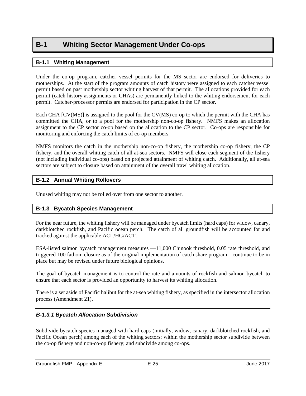# <span id="page-27-1"></span><span id="page-27-0"></span>**B-1 Whiting Sector Management Under Co-ops**

#### **B-1.1 Whiting Management**

<span id="page-27-2"></span>Under the co-op program, catcher vessel permits for the MS sector are endorsed for deliveries to motherships. At the start of the program amounts of catch history were assigned to each catcher vessel permit based on past mothership sector whiting harvest of that permit. The allocations provided for each permit (catch history assignments or CHAs) are permanently linked to the whiting endorsement for each permit. Catcher-processor permits are endorsed for participation in the CP sector.

Each CHA [CV(MS)] is assigned to the pool for the CV(MS) co-op to which the permit with the CHA has committed the CHA, or to a pool for the mothership non-co-op fishery. NMFS makes an allocation assignment to the CP sector co-op based on the allocation to the CP sector. Co-ops are responsible for monitoring and enforcing the catch limits of co-op members.

NMFS monitors the catch in the mothership non-co-op fishery, the mothership co-op fishery, the CP fishery, and the overall whiting catch of all at-sea sectors. NMFS will close each segment of the fishery (not including individual co-ops) based on projected attainment of whiting catch. Additionally, all at-sea sectors are subject to closure based on attainment of the overall trawl whiting allocation.

## **B-1.2 Annual Whiting Rollovers**

Unused whiting may not be rolled over from one sector to another.

#### **B-1.3 Bycatch Species Management**

For the near future, the whiting fishery will be managed under bycatch limits (hard caps) for widow, canary, darkblotched rockfish, and Pacific ocean perch. The catch of all groundfish will be accounted for and tracked against the applicable ACL/HG/ACT.

ESA-listed salmon bycatch management measures —11,000 Chinook threshold, 0.05 rate threshold, and triggered 100 fathom closure as of the original implementation of catch share program—continue to be in place but may be revised under future biological opinions.

The goal of bycatch management is to control the rate and amounts of rockfish and salmon bycatch to ensure that each sector is provided an opportunity to harvest its whiting allocation.

There is a set aside of Pacific halibut for the at-sea whiting fishery, as specified in the intersector allocation process (Amendment 21).

#### *B-1.3.1 Bycatch Allocation Subdivision*

Subdivide bycatch species managed with hard caps (initially, widow, canary, darkblotched rockfish, and Pacific Ocean perch) among each of the whiting sectors; within the mothership sector subdivide between the co-op fishery and non-co-op fishery; and subdivide among co-ops.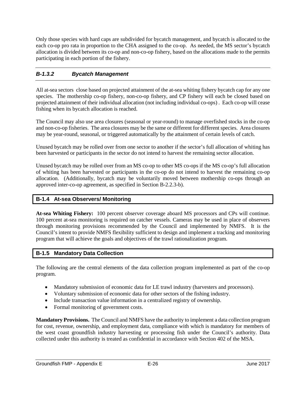Only those species with hard caps are subdivided for bycatch management, and bycatch is allocated to the each co-op pro rata in proportion to the CHA assigned to the co-op. As needed, the MS sector's bycatch allocation is divided between its co-op and non-co-op fishery, based on the allocations made to the permits participating in each portion of the fishery.

## *B-1.3.2 Bycatch Management*

<span id="page-28-0"></span>All at-sea sectors close based on projected attainment of the at-sea whiting fishery bycatch cap for any one species. The mothership co-op fishery, non-co-op fishery, and CP fishery will each be closed based on projected attainment of their individual allocation (not including individual co-ops) . Each co-op will cease fishing when its bycatch allocation is reached.

The Council may also use area closures (seasonal or year-round) to manage overfished stocks in the co-op and non-co-op fisheries. The area closures may be the same or different for different species. Area closures may be year-round, seasonal, or triggered automatically by the attainment of certain levels of catch.

Unused bycatch may be rolled over from one sector to another if the sector's full allocation of whiting has been harvested or participants in the sector do not intend to harvest the remaining sector allocation.

Unused bycatch may be rolled over from an MS co-op to other MS co-ops if the MS co-op's full allocation of whiting has been harvested or participants in the co-op do not intend to harvest the remaining co-op allocation. (Additionally, bycatch may be voluntarily moved between mothership co-ops through an approved inter-co-op agreement, as specified in Section B-2.2.3-b).

#### **B-1.4 At-sea Observers/ Monitoring**

**At-sea Whiting Fishery:** 100 percent observer coverage aboard MS processors and CPs will continue. 100 percent at-sea monitoring is required on catcher vessels. Cameras may be used in place of observers through monitoring provisions recommended by the Council and implemented by NMFS. It is the Council's intent to provide NMFS flexibility sufficient to design and implement a tracking and monitoring program that will achieve the goals and objectives of the trawl rationalization program.

## **B-1.5 Mandatory Data Collection**

The following are the central elements of the data collection program implemented as part of the co-op program.

- Mandatory submission of economic data for LE trawl industry (harvesters and processors).
- Voluntary submission of economic data for other sectors of the fishing industry.
- Include transaction value information in a centralized registry of ownership.
- Formal monitoring of government costs.

<span id="page-28-1"></span>**Mandatory Provisions.** The Council and NMFS have the authority to implement a data collection program for cost, revenue, ownership, and employment data, compliance with which is mandatory for members of the west coast groundfish industry harvesting or processing fish under the Council's authority. Data collected under this authority is treated as confidential in accordance with Section 402 of the MSA.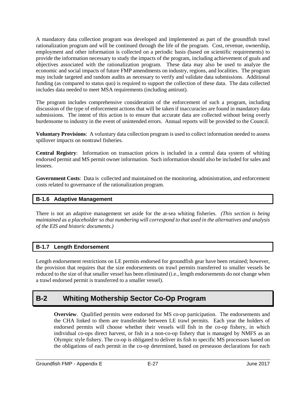A mandatory data collection program was developed and implemented as part of the groundfish trawl rationalization program and will be continued through the life of the program. Cost, revenue, ownership, employment and other information is collected on a periodic basis (based on scientific requirements) to provide the information necessary to study the impacts of the program, including achievement of goals and objectives associated with the rationalization program. These data may also be used to analyze the economic and social impacts of future FMP amendments on industry, regions, and localities. The program may include targeted and random audits as necessary to verify and validate data submissions. Additional funding (as compared to status quo) is required to support the collection of these data. The data collected includes data needed to meet MSA requirements (including antirust).

The program includes comprehensive consideration of the enforcement of such a program, including discussion of the type of enforcement actions that will be taken if inaccuracies are found in mandatory data submissions. The intent of this action is to ensure that accurate data are collected without being overly burdensome to industry in the event of unintended errors. Annual reports will be provided to the Council.

**Voluntary Provisions**: A voluntary data collection program is used to collect information needed to assess spillover impacts on nontrawl fisheries.

**Central Registry**: Information on transaction prices is included in a central data system of whiting endorsed permit and MS permit owner information. Such information should also be included for sales and lessees.

**Government Costs**: Data is collected and maintained on the monitoring, administration, and enforcement costs related to governance of the rationalization program.

#### **B-1.6 Adaptive Management**

There is not an adaptive management set aside for the at-sea whiting fisheries. *(This section is being maintained as a placeholder so that numbering will correspond to that used in the alternatives and analysis of the EIS and historic documents.)*

#### **B-1.7 Length Endorsement**

Length endorsement restrictions on LE permits endorsed for groundfish gear have been retained; however, the provision that requires that the size endorsements on trawl permits transferred to smaller vessels be reduced to the size of that smaller vessel has been eliminated (i.e., length endorsements do not change when a trawl endorsed permit is transferred to a smaller vessel).

## <span id="page-29-1"></span><span id="page-29-0"></span>**B-2 Whiting Mothership Sector Co-Op Program**

**Overview**. Qualified permits were endorsed for MS co-op participation. The endorsements and the CHA linked to them are transferable between LE trawl permits. Each year the holders of endorsed permits will choose whether their vessels will fish in the co-op fishery, in which individual co-ops direct harvest, or fish in a non-co-op fishery that is managed by NMFS as an Olympic style fishery. The co-op is obligated to deliver its fish to specific MS processors based on the obligations of each permit in the co-op determined, based on preseason declarations for each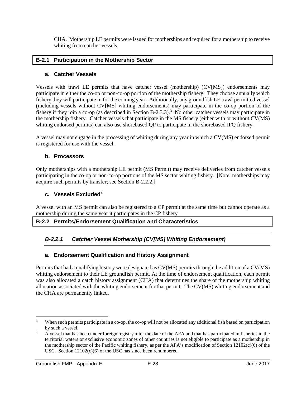CHA. Mothership LE permits were issued for motherships and required for a mothership to receive whiting from catcher vessels.

#### **B-2.1 Participation in the Mothership Sector**

#### **a. Catcher Vessels**

Vessels with trawl LE permits that have catcher vessel (mothership) (CV[MS]) endorsements may participate in either the co-op or non-co-op portion of the mothership fishery. They choose annually which fishery they will participate in for the coming year. Additionally, any groundfish LE trawl permitted vessel (including vessels without CV[MS] whiting endorsements) may participate in the co-op portion of the fishery if they join a co-op (as described in Section B-2.[3](#page-30-0).3).<sup>3</sup> No other catcher vessels may participate in the mothership fishery. Catcher vessels that participate in the MS fishery (either with or without CV(MS) whiting endorsed permits) can also use shorebased QP to participate in the shorebased IFQ fishery.

A vessel may not engage in the processing of whiting during any year in which a CV(MS) endorsed permit is registered for use with the vessel.

#### **b. Processors**

Only motherships with a mothership LE permit (MS Permit) may receive deliveries from catcher vessels participating in the co-op or non-co-op portions of the MS sector whiting fishery. [Note: motherships may acquire such permits by transfer; see Section B-2.2.2.]

#### **c. Vessels Excluded**[4](#page-30-1)

A vessel with an MS permit can also be registered to a CP permit at the same time but cannot operate as a mothership during the same year it participates in the CP fishery

#### **B-2.2 Permits/Endorsement Qualification and Characteristics**

## *B-2.2.1 Catcher Vessel Mothership (CV[MS] Whiting Endorsement)*

#### **a. Endorsement Qualification and History Assignment**

Permits that had a qualifying history were designated as CV(MS) permits through the addition of a CV(MS) whiting endorsement to their LE groundfish permit. At the time of endorsement qualification, each permit was also allocated a catch history assignment (CHA) that determines the share of the mothership whiting allocation associated with the whiting endorsement for that permit. The CV(MS) whiting endorsement and the CHA are permanently linked.

<span id="page-30-0"></span><sup>&</sup>lt;sup>3</sup> When such permits participate in a co-op, the co-op will not be allocated any additional fish based on participation by such a vessel.

<span id="page-30-1"></span><sup>&</sup>lt;sup>4</sup> A vessel that has been under foreign registry after the date of the AFA and that has participated in fisheries in the territorial waters or exclusive economic zones of other countries is not eligible to participate as a mothership in the mothership sector of the Pacific whiting fishery, as per the AFA's modification of Section  $12102(c)(6)$  of the USC. Section 12102(c)(6) of the USC has since been renumbered.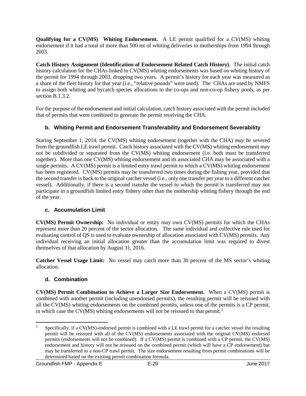**Qualifying for a CV(MS) Whiting Endorsement.** A LE permit qualified for a CV(MS) whiting endorsement if it had a total of more than 500 mt of whiting deliveries to motherships from 1994 through 2003.

**Catch History Assignment (Identification of Endorsement Related Catch History)**. The initial catch history calculation for the CHAs linked to CV(MS) whiting endorsements was based on whiting history of the permit for 1994 through 2003, dropping two years. A permit's history for each year was measured as a share of the fleet history for that year (i.e., "relative pounds" were used). The CHAs are used by NMFS to assign both whiting and bycatch species allocations to the co-ops and non-co-op fishery pools, as per section B.1.3.2.

For the purpose of the endorsement and initial calculation, catch history associated with the permit included that of permits that were combined to generate the permit receiving the CHA.

## **b. Whiting Permit and Endorsement Transferability and Endorsement Severability**

Staring September 1, 2014, the CV(MS) whiting endorsement (together with the CHA) *may be* severed from the groundfish LE trawl permit. Catch history associated with the CV(MS) whiting endorsement may not be subdivided or separated from the CV(MS) whiting endorsement (i.e. both must be transferred together). More than one CV(MS) whiting endorsement and its associated CHA may be associated with a single permits. A CV(MS) permit is a limited entry trawl permit to which a CV(MS) whiting endorsement has been registered. CV(MS) permits may be transferred two times during the fishing year, provided that the second transfer is back to the original catcher vessel (i.e., only one transfer per year to a different catcher vessel). Additionally, if there is a second transfer the vessel to which the permit is transferred may not participate in a groundfish limited entry fishery other than the mothership whiting fishery through the end of the year.

#### **c. Accumulation Limit**

**CV(MS) Permit Ownership:** No individual or entity may own CV(MS) permits for which the CHAs represent more than 20 percent of the sector allocation. The same individual and collective rule used for evaluating control of QS is used to evaluate ownership of allocation associated with CV(MS) permits. Any individual receiving an initial allocation greater than the accumulation limit was required to divest themselves of that allocation by August 31, 2016.

**Catcher Vessel Usage Limit:** No vessel may catch more than 30 percent of the MS sector's whiting allocation.

## **d. Combination**

**CV(MS) Permit Combination to Achieve a Larger Size Endorsement.** When a CV(MS) permit is combined with another permit (including unendorsed permits), the resulting permit will be reissued with all the CV(MS) whiting endorsements on the combined permits, unless one of the permits is a CP permit, in which case the CV(MS) whiting endorsements will not be reissued to that permit. [5](#page-31-0)

<span id="page-31-0"></span><sup>&</sup>lt;sup>5</sup> Specifically, if a CV(MS)-endorsed permit is combined with a LE trawl permit for a catcher vessel the resulting permit will be reissued with all of the CV(MS) endorsements associated with the original CV(MS) endorsed permits (endorsements will not be combined). If a CV(MS) permit is combined with a CP permit, the CV(MS) endorsement and history will not be reissued on the combined permit (which will have a CP endorsement) but may be transferred to a non-CP trawl permit. The size endorsement resulting from permit combinations will be determined based on the existing permit combination formula.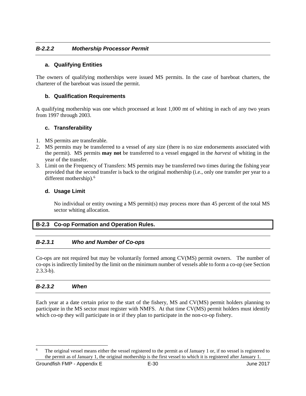#### *B-2.2.2 Mothership Processor Permit*

#### **a. Qualifying Entities**

The owners of qualifying motherships were issued MS permits. In the case of bareboat charters, the charterer of the bareboat was issued the permit.

#### **b. Qualification Requirements**

A qualifying mothership was one which processed at least 1,000 mt of whiting in each of any two years from 1997 through 2003.

#### **c. Transferability**

- 1. MS permits are transferable.
- 2. MS permits may be transferred to a vessel of any size (there is no size endorsements associated with the permit). MS permits **may not** be transferred to a vessel engaged in the *harvest* of whiting in the year of the transfer.
- 3. Limit on the Frequency of Transfers: MS permits may be transferred two times during the fishing year provided that the second transfer is back to the original mothership (i.e., only one transfer per year to a different mothership).<sup>[6](#page-32-0)</sup>

#### **d. Usage Limit**

No individual or entity owning a MS permit(s) may process more than 45 percent of the total MS sector whiting allocation.

#### **B-2.3 Co-op Formation and Operation Rules.**

#### *B-2.3.1 Who and Number of Co-ops*

Co-ops are not required but may be voluntarily formed among CV(MS) permit owners. The number of co-ops is indirectly limited by the limit on the minimum number of vessels able to form a co-op (see Section 2.3.3-b).

#### *B-2.3.2 When*

Each year at a date certain prior to the start of the fishery, MS and CV(MS) permit holders planning to participate in the MS sector must register with NMFS. At that time CV(MS) permit holders must identify which co-op they will participate in or if they plan to participate in the non-co-op fishery.

<span id="page-32-0"></span>The original vessel means either the vessel registered to the permit as of January 1 or, if no vessel is registered to the permit as of January 1, the original mothership is the first vessel to which it is registered after January 1.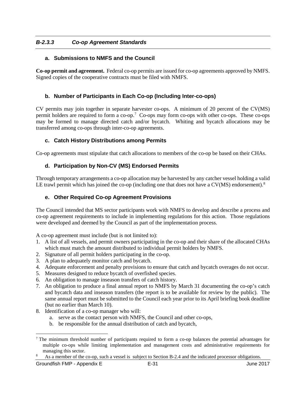#### *B-2.3.3 Co-op Agreement Standards*

#### **a. Submissions to NMFS and the Council**

**Co-op permit and agreement.** Federal co-op permits are issued for co-op agreements approved by NMFS. Signed copies of the cooperative contracts must be filed with NMFS.

#### **b. Number of Participants in Each Co-op (Including Inter-co-ops)**

CV permits may join together in separate harvester co-ops. A minimum of 20 percent of the CV(MS) permit holders are required to form a co-op.<sup>[7](#page-33-0)</sup> Co-ops may form co-ops with other co-ops. These co-ops may be formed to manage directed catch and/or bycatch. Whiting and bycatch allocations may be transferred among co-ops through inter-co-op agreements.

#### **c. Catch History Distributions among Permits**

Co-op agreements must stipulate that catch allocations to members of the co-op be based on their CHAs.

#### **d. Participation by Non-CV (MS) Endorsed Permits**

Through temporary arrangements a co-op allocation may be harvested by any catcher vessel holding a valid LE trawl permit which has joined the co-op (including one that does not have a  $CV(MS)$  endorsement).<sup>[8](#page-33-1)</sup>

#### **e. Other Required Co-op Agreement Provisions**

The Council intended that MS sector participants work with NMFS to develop and describe a process and co-op agreement requirements to include in implementing regulations for this action. Those regulations were developed and deemed by the Council as part of the implementation process.

A co-op agreement must include (but is not limited to):

- 1. A list of all vessels, and permit owners participating in the co-op and their share of the allocated CHAs which must match the amount distributed to individual permit holders by NMFS.
- 2. Signature of all permit holders participating in the co-op.
- 3. A plan to adequately monitor catch and bycatch.
- 4. Adequate enforcement and penalty provisions to ensure that catch and bycatch overages do not occur.
- 5. Measures designed to reduce bycatch of overfished species.
- 6. An obligation to manage inseason transfers of catch history.
- 7. An obligation to produce a final annual report to NMFS by March 31 documenting the co-op's catch and bycatch data and inseason transfers (the report is to be available for review by the public). The same annual report must be submitted to the Council each year prior to its April briefing book deadline (but no earlier than March 10).
- 8. Identification of a co-op manager who will:
	- a. serve as the contact person with NMFS, the Council and other co-ops,
	- b. be responsible for the annual distribution of catch and bycatch,

<span id="page-33-0"></span><sup>&</sup>lt;sup>7</sup> The minimum threshold number of participants required to form a co-op balances the potential advantages for multiple co-ops while limiting implementation and management costs and administrative requirements for managing this sector.

<span id="page-33-1"></span>As a member of the co-op, such a vessel is subject to Section B-2.4 and the indicated processor obligations.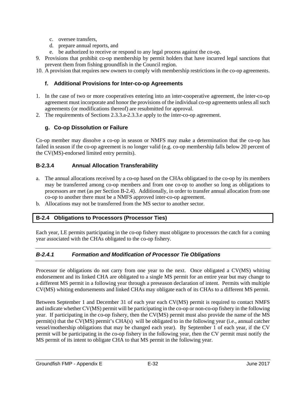- c. oversee transfers,
- d. prepare annual reports, and
- e. be authorized to receive or respond to any legal process against the co-op.
- 9. Provisions that prohibit co-op membership by permit holders that have incurred legal sanctions that prevent them from fishing groundfish in the Council region.
- 10. A provision that requires new owners to comply with membership restrictions in the co-op agreements.

#### **f. Additional Provisions for Inter-co-op Agreements**

- 1. In the case of two or more cooperatives entering into an inter-cooperative agreement, the inter-co-op agreement must incorporate and honor the provisions of the individual co-op agreements unless all such agreements (or modifications thereof) are resubmitted for approval.
- 2. The requirements of Sections 2.3.3.a-2.3.3.e apply to the inter-co-op agreement.

#### **g. Co-op Dissolution or Failure**

Co-op member may dissolve a co-op in season or NMFS may make a determination that the co-op has failed in season if the co-op agreement is no longer valid (e.g. co-op membership falls below 20 percent of the CV(MS)-endorsed limited entry permits).

#### **B-2.3.4 Annual Allocation Transferability**

- a. The annual allocations received by a co-op based on the CHAs obligataed to the co-op by its members may be transferred among co-op members and from one co-op to another so long as obligations to processors are met (as per Section B-2.4). Additionally, in order to transfer annual allocation from one co-op to another there must be a NMFS approved inter-co-op agreement.
- b. Allocations may not be transferred from the MS sector to another sector.

#### **B-2.4 Obligations to Processors (Processor Ties)**

Each year, LE permits participating in the co-op fishery must obligate to processors the catch for a coming year associated with the CHAs obligated to the co-op fishery.

#### *B-2.4.1 Formation and Modification of Processor Tie Obligations*

Processor tie obligations do not carry from one year to the next. Once obligated a CV(MS) whiting endorsement and its linked CHA are obligated to a single MS permit for an entire year but may change to a different MS permit in a following year through a preseason declaration of intent. Permits with multiple CV(MS) whiting endorsements and linked CHAs may obligate each of its CHAs to a different MS permit.

Between September 1 and December 31 of each year each CV(MS) permit is required to contact NMFS and indicate whether CV(MS) permit will be participating in the co-op or non-co-op fishery in the following year. If participating in the co-op fishery, then the CV(MS) permit must also provide the name of the MS permit(s) that the CV(MS) permit's CHA(s) will be obligated to in the following year (i.e., annual catcher vessel/mothership obligations that may be changed each year). By September 1 of each year, if the CV permit will be participating in the co-op fishery in the following year, then the CV permit must notify the MS permit of its intent to obligate CHA to that MS permit in the following year.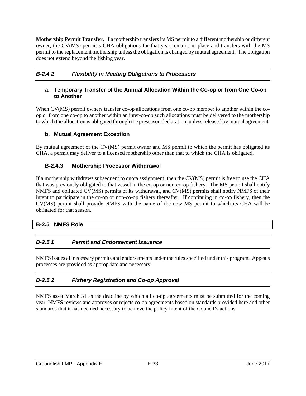**Mothership Permit Transfer.** If a mothership transfers its MS permit to a different mothership or different owner, the CV(MS) permit's CHA obligations for that year remains in place and transfers with the MS permit to the replacement mothership unless the obligation is changed by mutual agreement. The obligation does not extend beyond the fishing year.

## *B-2.4.2 Flexibility in Meeting Obligations to Processors*

#### **a. Temporary Transfer of the Annual Allocation Within the Co-op or from One Co-op to Another**

When CV(MS) permit owners transfer co-op allocations from one co-op member to another within the coop or from one co-op to another within an inter-co-op such allocations must be delivered to the mothership to which the allocation is obligated through the preseason declaration, unless released by mutual agreement.

#### **b. Mutual Agreement Exception**

By mutual agreement of the CV(MS) permit owner and MS permit to which the permit has obligated its CHA, a permit may deliver to a licensed mothership other than that to which the CHA is obligated.

#### **B-2.4.3 Mothership Processor Withdrawal**

If a mothership withdraws subsequent to quota assignment, then the CV(MS) permit is free to use the CHA that was previously obligated to that vessel in the co-op or non-co-op fishery. The MS permit shall notify NMFS and obligated CV(MS) permits of its withdrawal, and CV(MS) permits shall notify NMFS of their intent to participate in the co-op or non-co-op fishery thereafter. If continuing in co-op fishery, then the CV(MS) permit shall provide NMFS with the name of the new MS permit to which its CHA will be obligated for that season.

#### **B-2.5 NMFS Role**

#### *B-2.5.1 Permit and Endorsement Issuance*

NMFS issues all necessary permits and endorsements under the rules specified under this program. Appeals processes are provided as appropriate and necessary.

#### *B-2.5.2 Fishery Registration and Co-op Approval*

NMFS asset March 31 as the deadline by which all co-op agreements must be submitted for the coming year. NMFS reviews and approves or rejects co-op agreements based on standards provided here and other standards that it has deemed necessary to achieve the policy intent of the Council's actions.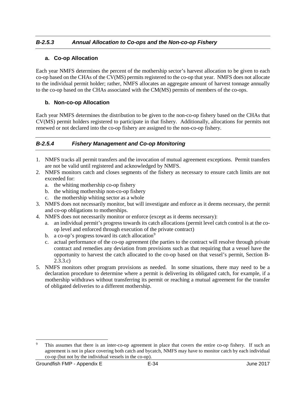## *B-2.5.3 Annual Allocation to Co-ops and the Non-co-op Fishery*

#### **a. Co-op Allocation**

Each year NMFS determines the percent of the mothership sector's harvest allocation to be given to each co-op based on the CHAs of the CV(MS) permits registered to the co-op that year. NMFS does not allocate to the individual permit holder; rather, NMFS allocates an aggregate amount of harvest tonnage annually to the co-op based on the CHAs associated with the CM(MS) permits of members of the co-ops.

#### **b. Non-co-op Allocation**

Each year NMFS determines the distribution to be given to the non-co-op fishery based on the CHAs that CV(MS) permit holders registered to participate in that fishery. Additionally, allocations for permits not renewed or not declared into the co-op fishery are assigned to the non-co-op fishery.

## *B-2.5.4 Fishery Management and Co-op Monitoring*

- 1. NMFS tracks all permit transfers and the invocation of mutual agreement exceptions. Permit transfers are not be valid until registered and acknowledged by NMFS.
- 2. NMFS monitors catch and closes segments of the fishery as necessary to ensure catch limits are not exceeded for:
	- a. the whiting mothership co-op fishery
	- b. the whiting mothership non-co-op fishery
	- c. the mothership whiting sector as a whole
- 3. NMFS does not necessarily monitor, but will investigate and enforce as it deems necessary, the permit and co-op obligations to motherships.
- 4. NMFS does not necessarily monitor or enforce (except as it deems necessary):
	- a. an individual permit's progress towards its catch allocations (permit level catch control is at the coop level and enforced through execution of the private contract)
	- b. a co-op's progress toward its catch allocation<sup>[9](#page-36-0)</sup>
	- c. actual performance of the co-op agreement (the parties to the contract will resolve through private contract and remedies any deviation from provisions such as that requiring that a vessel have the opportunity to harvest the catch allocated to the co-op based on that vessel's permit, Section B-2.3.3.c)
- 5. NMFS monitors other program provisions as needed. In some situations, there may need to be a declaration procedure to determine where a permit is delivering its obligated catch, for example, if a mothership withdraws without transferring its permit or reaching a mutual agreement for the transfer of obligated deliveries to a different mothership.

<span id="page-36-0"></span><sup>&</sup>lt;sup>9</sup> This assumes that there is an inter-co-op agreement in place that covers the entire co-op fishery. If such an agreement is not in place covering both catch and bycatch, NMFS may have to monitor catch by each individual co-op (but not by the individual vessels in the co-op).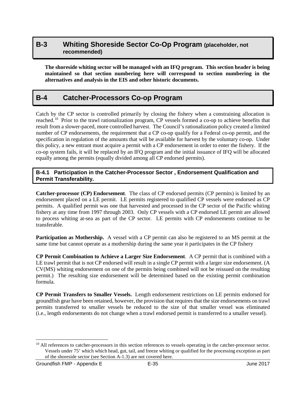## <span id="page-37-0"></span>**B-3 Whiting Shoreside Sector Co-Op Program (placeholder, not recommended)**

**The shoreside whiting sector will be managed with an IFQ program. This section header is being maintained so that section numbering here will correspond to section numbering in the alternatives and analysis in the EIS and other historic documents.**

# <span id="page-37-1"></span>**B-4 Catcher-Processors Co-op Program**

Catch by the CP sector is controlled primarily by closing the fishery when a constraining allocation is reached[.10](#page-37-2) Prior to the trawl rationalization program, CP vessels formed a co-op to achieve benefits that result from a slower-paced, more controlled harvest. The Council's rationalization policy created a limited number of CP endorsements, the requirement that a CP co-op qualify for a Federal co-op permit, and the specification in regulation of the amounts that will be available for harvest by the voluntary co-op. Under this policy, a new entrant must acquire a permit with a CP endorsement in order to enter the fishery. If the co-op system fails, it will be replaced by an IFQ program and the initial issuance of IFQ will be allocated equally among the permits (equally divided among all CP endorsed permits).

#### **B-4.1 Participation in the Catcher-Processor Sector , Endorsement Qualification and Permit Transferability.**

**Catcher-processor (CP) Endorsement**. The class of CP endorsed permits (CP permits) is limited by an endorsement placed on a LE permit. LE permits registered to qualified CP vessels were endorsed as CP permits. A qualified permit was one that harvested and processed in the CP sector of the Pacific whiting fishery at any time from 1997 through 2003. Only CP vessels with a CP endorsed LE permit are allowed to process whiting at-sea as part of the CP sector. LE permits with CP endorsements continue to be transferable.

**Participation as Mothership.** A vessel with a CP permit can also be registered to an MS permit at the same time but cannot operate as a mothership during the same year it participates in the CP fishery

**CP Permit Combination to Achieve a Larger Size Endorsement**. A CP permit that is combined with a LE trawl permit that is not CP endorsed will result in a single CP permit with a larger size endorsement. (A CV(MS) whiting endorsement on one of the permits being combined will not be reissued on the resulting permit.) The resulting size endorsement will be determined based on the existing permit combination formula.

**CP Permit Transfers to Smaller Vessels.** Length endorsement restrictions on LE permits endorsed for groundfish gear have been retained, however, the provision that requires that the size endorsements on trawl permits transferred to smaller vessels be reduced to the size of that smaller vessel was eliminated (i.e., length endorsements do not change when a trawl endorsed permit is transferred to a smaller vessel).

<span id="page-37-2"></span><sup>&</sup>lt;sup>10</sup> All references to catcher-processors in this section references to vessels operating in the catcher-processor sector. Vessels under 75' which which head, gut, tail, and freeze whiting or qualified for the processing exception as part of the shoreside sector (see Section A-1.3) are not covered here.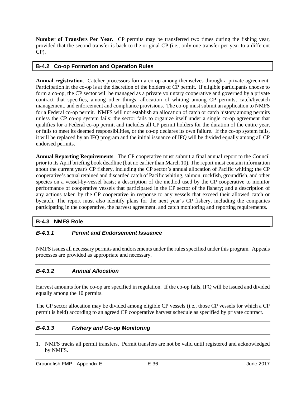**Number of Transfers Per Year.** CP permits may be transferred two times during the fishing year, provided that the second transfer is back to the original CP (i.e., only one transfer per year to a different CP).

#### **B-4.2 Co-op Formation and Operation Rules**

**Annual registration**. Catcher-processors form a co-op among themselves through a private agreement. Participation in the co-op is at the discretion of the holders of CP permit. If eligible participants choose to form a co-op, the CP sector will be managed as a private voluntary cooperative and governed by a private contract that specifies, among other things, allocation of whiting among CP permits, catch/bycatch management, and enforcement and compliance provisions. The co-op must submit an application to NMFS for a Federal co-op permit. NMFS will not establish an allocation of catch or catch history among permits unless the CP co-op system fails: the sector fails to organize itself under a single co-op agreement that qualifies for a Federal co-op permit and includes all CP permit holders for the duration of the entire year, or fails to meet its deemed responsibilities, or the co-op declares its own failure. If the co-op system fails, it will be replaced by an IFQ program and the initial issuance of IFQ will be divided equally among all CP endorsed permits.

**Annual Reporting Requirements**. The CP cooperative must submit a final annual report to the Council prior to its April briefing book deadline (but no earlier than March 10). The report must contain information about the current year's CP fishery, including the CP sector's annual allocation of Pacific whiting; the CP cooperative's actual retained and discarded catch of Pacific whiting, salmon, rockfish, groundfish, and other species on a vessel-by-vessel basis; a description of the method used by the CP cooperative to monitor performance of cooperative vessels that participated in the CP sector of the fishery; and a description of any actions taken by the CP cooperative in response to any vessels that exceed their allowed catch or bycatch. The report must also identify plans for the next year's CP fishery, including the companies participating in the cooperative, the harvest agreement, and catch monitoring and reporting requirements.

#### **B-4.3 NMFS Role**

## *B-4.3.1 Permit and Endorsement Issuance*

NMFS issues all necessary permits and endorsements under the rules specified under this program. Appeals processes are provided as appropriate and necessary.

## *B-4.3.2 Annual Allocation*

Harvest amounts for the co-op are specified in regulation. If the co-op fails, IFQ will be issued and divided equally among the 10 permits.

The CP sector allocation may be divided among eligible CP vessels (i.e., those CP vessels for which a CP permit is held) according to an agreed CP cooperative harvest schedule as specified by private contract.

#### *B-4.3.3 Fishery and Co-op Monitoring*

1. NMFS tracks all permit transfers. Permit transfers are not be valid until registered and acknowledged by NMFS.